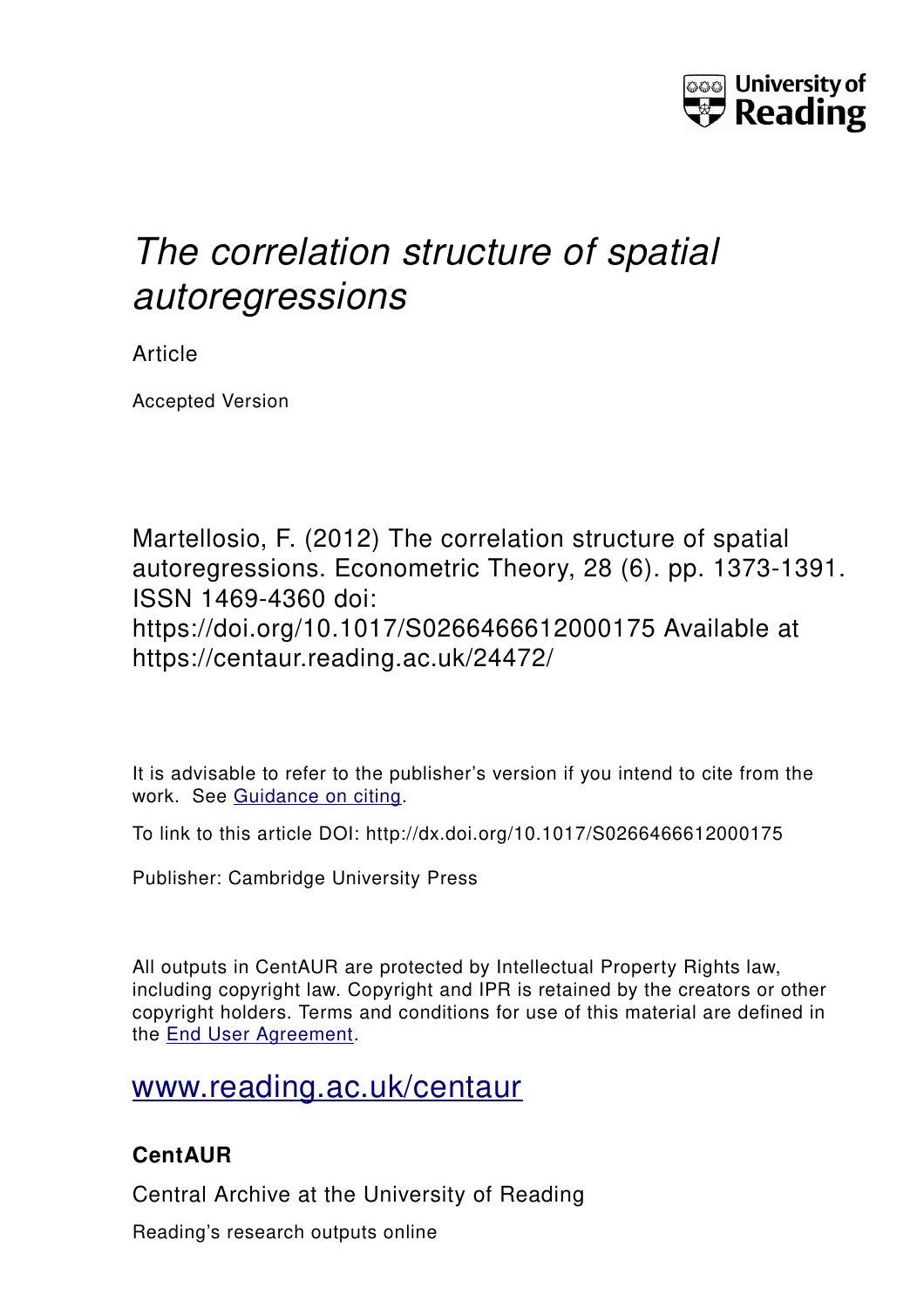

# *The correlation structure of spatial autoregressions*

Article

Accepted Version

Martellosio, F. (2012) The correlation structure of spatial autoregressions. Econometric Theory, 28 (6). pp. 1373-1391. ISSN 1469-4360 doi: https://doi.org/10.1017/S0266466612000175 Available at https://centaur.reading.ac.uk/24472/

It is advisable to refer to the publisher's version if you intend to cite from the work. See [Guidance on citing.](http://centaur.reading.ac.uk/71187/10/CentAUR%20citing%20guide.pdf)

To link to this article DOI: http://dx.doi.org/10.1017/S0266466612000175

Publisher: Cambridge University Press

All outputs in CentAUR are protected by Intellectual Property Rights law, including copyright law. Copyright and IPR is retained by the creators or other copyright holders. Terms and conditions for use of this material are defined in the [End User Agreement.](http://centaur.reading.ac.uk/licence)

[www.reading.ac.uk/centaur](http://www.reading.ac.uk/centaur)

# **CentAUR**

Central Archive at the University of Reading

Reading's research outputs online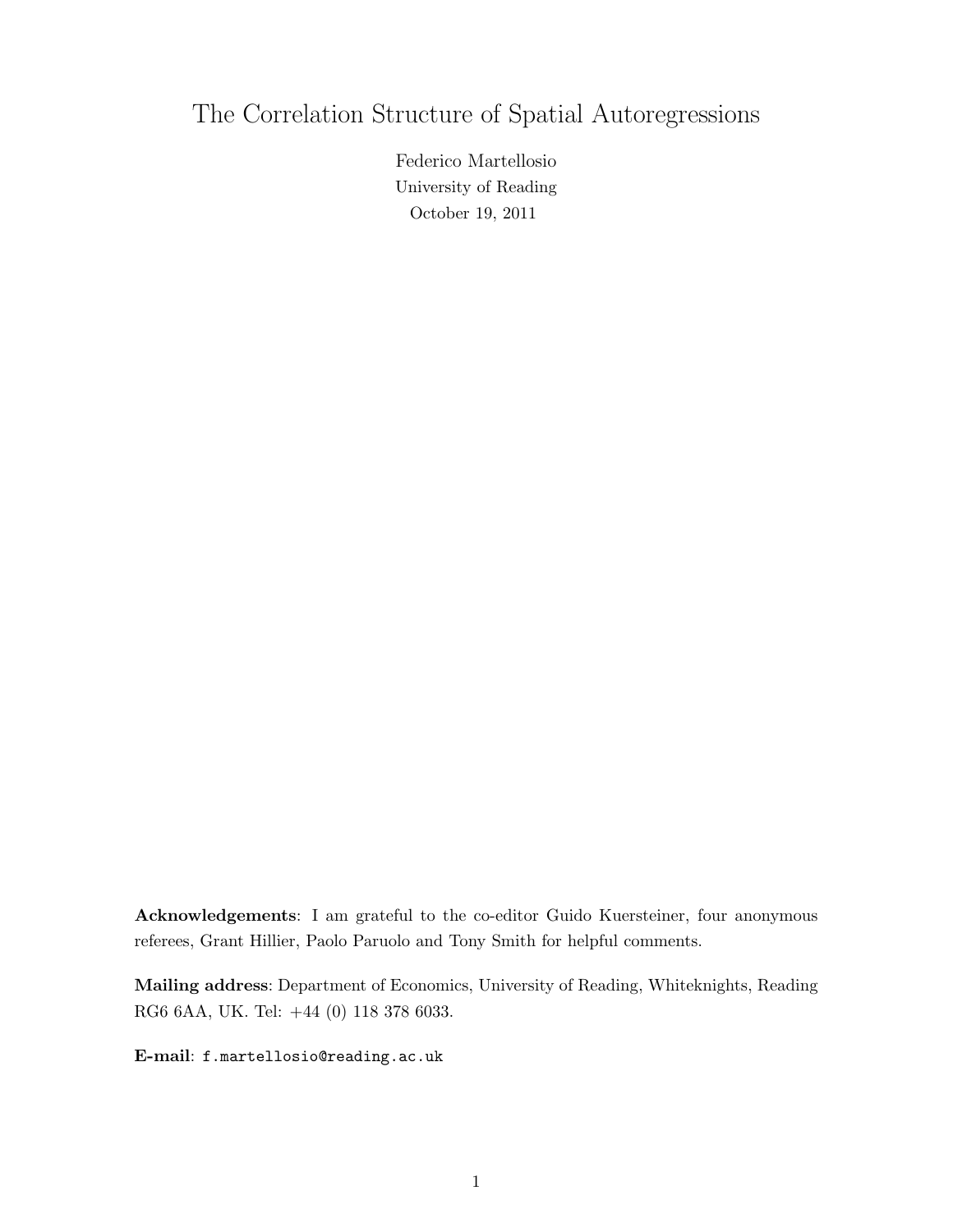# The Correlation Structure of Spatial Autoregressions

Federico Martellosio University of Reading October 19, 2011

Acknowledgements: I am grateful to the co-editor Guido Kuersteiner, four anonymous referees, Grant Hillier, Paolo Paruolo and Tony Smith for helpful comments.

Mailing address: Department of Economics, University of Reading, Whiteknights, Reading RG6 6AA, UK. Tel: +44 (0) 118 378 6033.

E-mail: f.martellosio@reading.ac.uk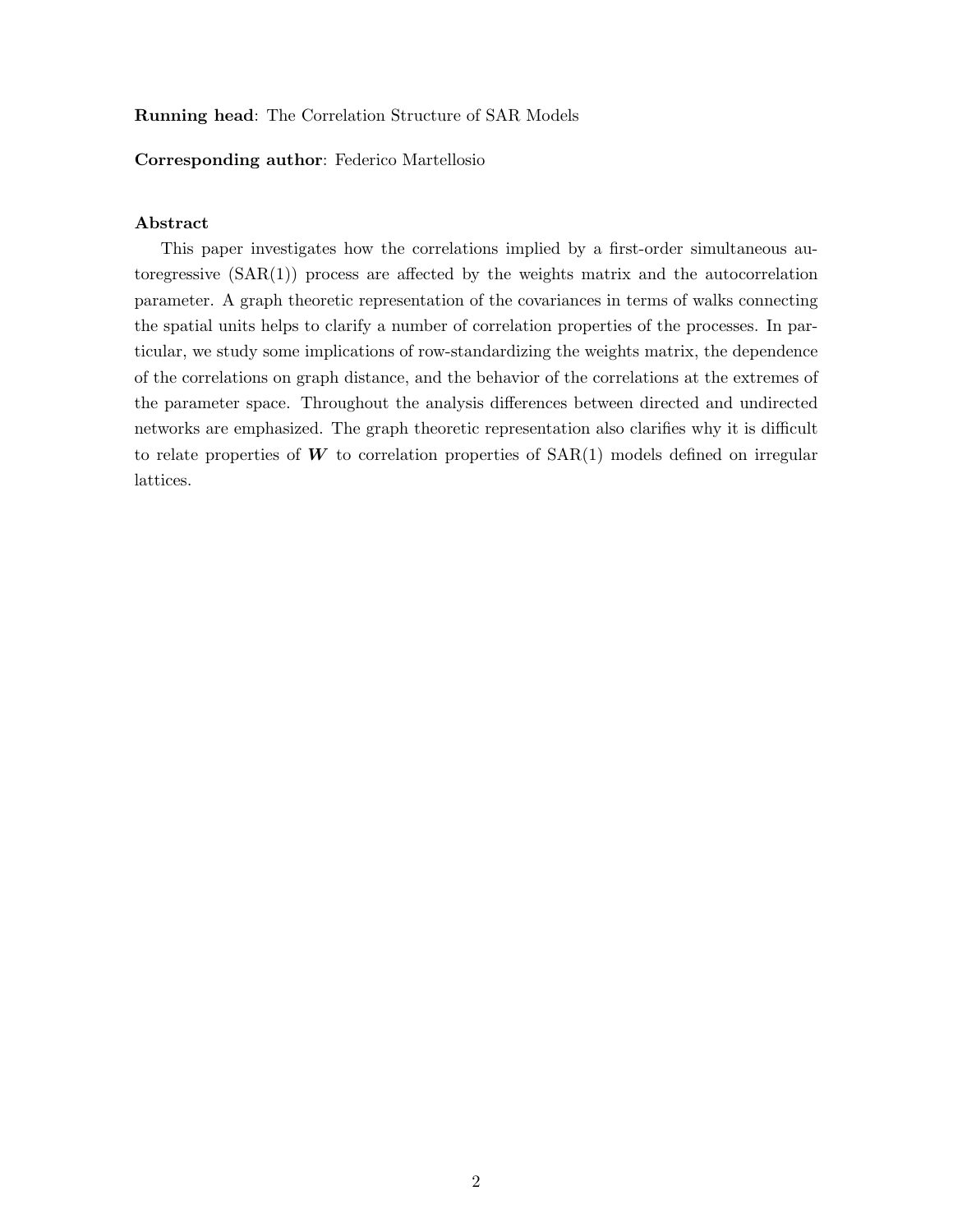#### Running head: The Correlation Structure of SAR Models

#### Corresponding author: Federico Martellosio

### Abstract

This paper investigates how the correlations implied by a first-order simultaneous autoregressive  $(SAR(1))$  process are affected by the weights matrix and the autocorrelation parameter. A graph theoretic representation of the covariances in terms of walks connecting the spatial units helps to clarify a number of correlation properties of the processes. In particular, we study some implications of row-standardizing the weights matrix, the dependence of the correlations on graph distance, and the behavior of the correlations at the extremes of the parameter space. Throughout the analysis differences between directed and undirected networks are emphasized. The graph theoretic representation also clarifies why it is difficult to relate properties of  $W$  to correlation properties of  $SAR(1)$  models defined on irregular lattices.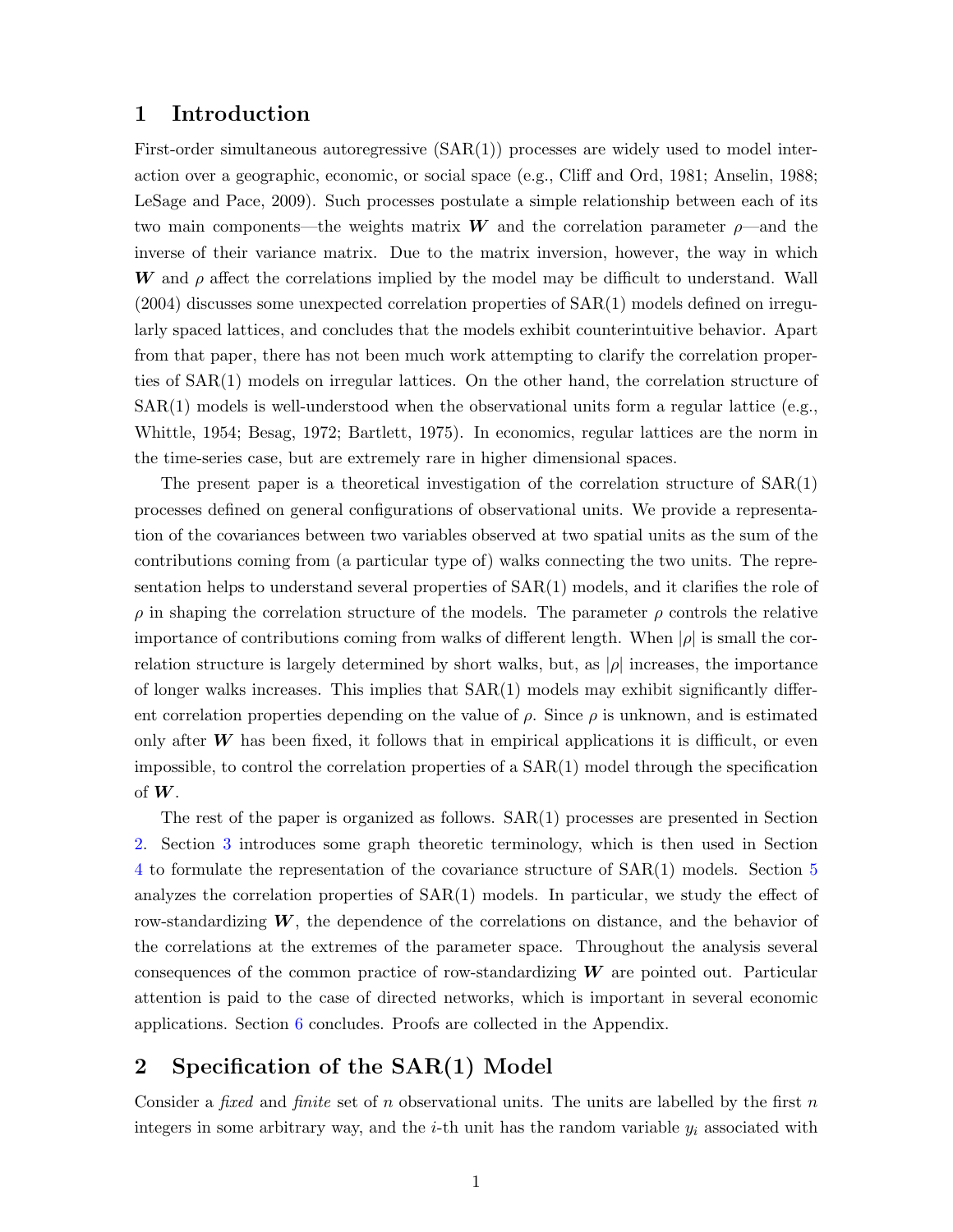# 1 Introduction

First-order simultaneous autoregressive  $(SAR(1))$  processes are widely used to model interaction over a geographic, economic, or social space (e.g., Cliff and Ord, 1981; Anselin, 1988; LeSage and Pace, 2009). Such processes postulate a simple relationship between each of its two main components—the weights matrix W and the correlation parameter  $\rho$ —and the inverse of their variance matrix. Due to the matrix inversion, however, the way in which W and  $\rho$  affect the correlations implied by the model may be difficult to understand. Wall (2004) discusses some unexpected correlation properties of SAR(1) models defined on irregularly spaced lattices, and concludes that the models exhibit counterintuitive behavior. Apart from that paper, there has not been much work attempting to clarify the correlation properties of SAR(1) models on irregular lattices. On the other hand, the correlation structure of  $SAR(1)$  models is well-understood when the observational units form a regular lattice (e.g., Whittle, 1954; Besag, 1972; Bartlett, 1975). In economics, regular lattices are the norm in the time-series case, but are extremely rare in higher dimensional spaces.

The present paper is a theoretical investigation of the correlation structure of SAR(1) processes defined on general configurations of observational units. We provide a representation of the covariances between two variables observed at two spatial units as the sum of the contributions coming from (a particular type of) walks connecting the two units. The representation helps to understand several properties of SAR(1) models, and it clarifies the role of  $ρ$  in shaping the correlation structure of the models. The parameter  $ρ$  controls the relative importance of contributions coming from walks of different length. When  $|\rho|$  is small the correlation structure is largely determined by short walks, but, as  $|\rho|$  increases, the importance of longer walks increases. This implies that SAR(1) models may exhibit significantly different correlation properties depending on the value of  $\rho$ . Since  $\rho$  is unknown, and is estimated only after  $W$  has been fixed, it follows that in empirical applications it is difficult, or even impossible, to control the correlation properties of a  $SAR(1)$  model through the specification of  $W$ .

The rest of the paper is organized as follows. SAR(1) processes are presented in Section [2.](#page-3-0) Section [3](#page-4-0) introduces some graph theoretic terminology, which is then used in Section [4](#page-6-0) to formulate the representation of the covariance structure of SAR(1) models. Section [5](#page-8-0) analyzes the correlation properties of  $SAR(1)$  models. In particular, we study the effect of row-standardizing  $W$ , the dependence of the correlations on distance, and the behavior of the correlations at the extremes of the parameter space. Throughout the analysis several consequences of the common practice of row-standardizing  $W$  are pointed out. Particular attention is paid to the case of directed networks, which is important in several economic applications. Section [6](#page-14-0) concludes. Proofs are collected in the Appendix.

# <span id="page-3-0"></span>2 Specification of the SAR(1) Model

Consider a *fixed* and *finite* set of n observational units. The units are labelled by the first n integers in some arbitrary way, and the  $i$ -th unit has the random variable  $y_i$  associated with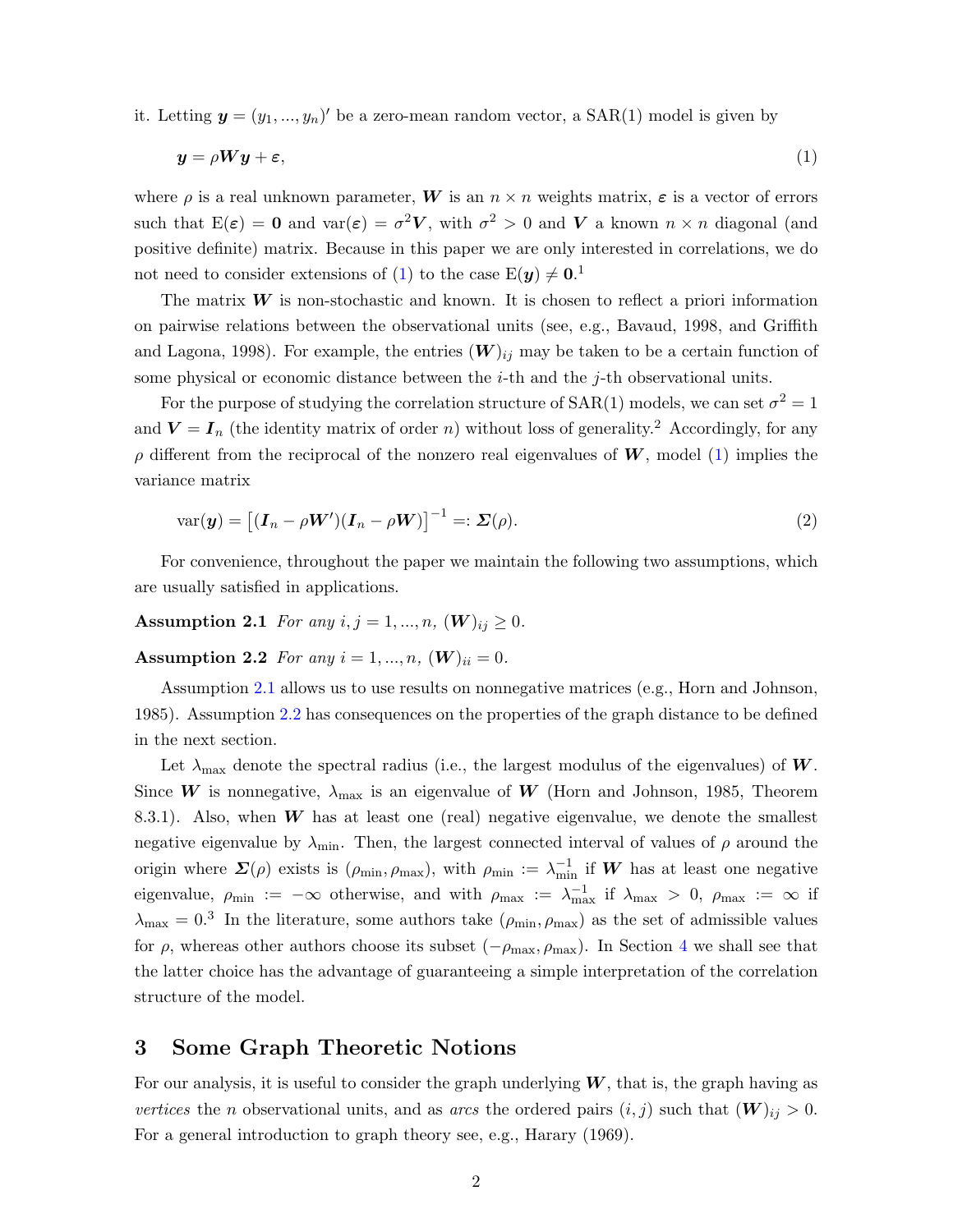it. Letting  $\mathbf{y} = (y_1, ..., y_n)'$  be a zero-mean random vector, a SAR(1) model is given by

<span id="page-4-1"></span>
$$
y = \rho W y + \varepsilon,\tag{1}
$$

where  $\rho$  is a real unknown parameter, W is an  $n \times n$  weights matrix,  $\varepsilon$  is a vector of errors such that  $E(\varepsilon) = 0$  and  $var(\varepsilon) = \sigma^2 V$ , with  $\sigma^2 > 0$  and V a known  $n \times n$  diagonal (and positive definite) matrix. Because in this paper we are only interested in correlations, we do not need to consider extensions of [\(1\)](#page-4-1) to the case  $E(y) \neq 0.1$ 

The matrix  $W$  is non-stochastic and known. It is chosen to reflect a priori information on pairwise relations between the observational units (see, e.g., Bavaud, 1998, and Griffith and Lagona, 1998). For example, the entries  $(W)_{ij}$  may be taken to be a certain function of some physical or economic distance between the i-th and the j-th observational units.

For the purpose of studying the correlation structure of SAR(1) models, we can set  $\sigma^2 = 1$ and  $V = I_n$  (the identity matrix of order n) without loss of generality.<sup>2</sup> Accordingly, for any  $\rho$  different from the reciprocal of the nonzero real eigenvalues of W, model [\(1\)](#page-4-1) implies the variance matrix

<span id="page-4-4"></span>
$$
var(\boldsymbol{y}) = \left[ (\boldsymbol{I}_n - \rho \boldsymbol{W}') (\boldsymbol{I}_n - \rho \boldsymbol{W}) \right]^{-1} =: \boldsymbol{\Sigma}(\rho).
$$
\n(2)

For convenience, throughout the paper we maintain the following two assumptions, which are usually satisfied in applications.

<span id="page-4-3"></span><span id="page-4-2"></span>**Assumption 2.1** For any  $i, j = 1, ..., n, (W)_{ij} \ge 0$ .

**Assumption 2.2** For any  $i = 1, ..., n$ ,  $(W)_{ii} = 0$ .

Assumption [2.1](#page-4-2) allows us to use results on nonnegative matrices (e.g., Horn and Johnson, 1985). Assumption [2.2](#page-4-3) has consequences on the properties of the graph distance to be defined in the next section.

Let  $\lambda_{\text{max}}$  denote the spectral radius (i.e., the largest modulus of the eigenvalues) of W. Since W is nonnegative,  $\lambda_{\text{max}}$  is an eigenvalue of W (Horn and Johnson, 1985, Theorem 8.3.1). Also, when  $W$  has at least one (real) negative eigenvalue, we denote the smallest negative eigenvalue by  $\lambda_{\min}$ . Then, the largest connected interval of values of  $\rho$  around the origin where  $\Sigma(\rho)$  exists is  $(\rho_{\min}, \rho_{\max})$ , with  $\rho_{\min} := \lambda_{\min}^{-1}$  if W has at least one negative eigenvalue,  $\rho_{\min} := -\infty$  otherwise, and with  $\rho_{\max} := \lambda_{\max}^{-1}$  if  $\lambda_{\max} > 0$ ,  $\rho_{\max} := \infty$  if  $\lambda_{\text{max}} = 0.3$  In the literature, some authors take  $(\rho_{\text{min}}, \rho_{\text{max}})$  as the set of admissible values for  $\rho$ , whereas other authors choose its subset ( $-\rho_{\text{max}}, \rho_{\text{max}}$ ). In Section [4](#page-6-0) we shall see that the latter choice has the advantage of guaranteeing a simple interpretation of the correlation structure of the model.

# <span id="page-4-0"></span>3 Some Graph Theoretic Notions

For our analysis, it is useful to consider the graph underlying  $W$ , that is, the graph having as vertices the n observational units, and as arcs the ordered pairs  $(i, j)$  such that  $(\mathbf{W})_{ij} > 0$ . For a general introduction to graph theory see, e.g., Harary (1969).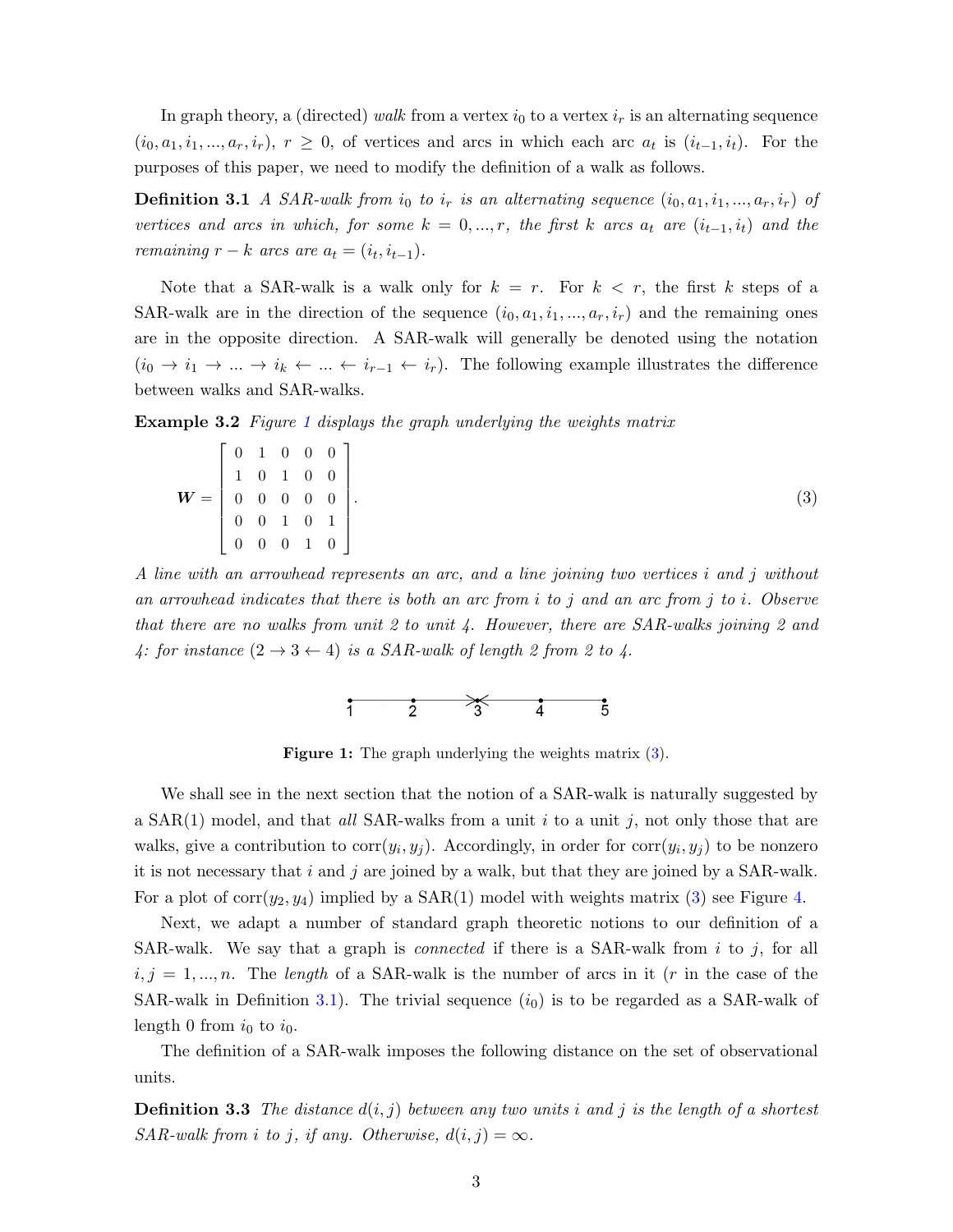In graph theory, a (directed) walk from a vertex  $i_0$  to a vertex  $i_r$  is an alternating sequence  $(i_0, a_1, i_1, \ldots, a_r, i_r), r \geq 0$ , of vertices and arcs in which each arc  $a_t$  is  $(i_{t-1}, i_t)$ . For the purposes of this paper, we need to modify the definition of a walk as follows.

<span id="page-5-2"></span>**Definition 3.1** A SAR-walk from  $i_0$  to  $i_r$  is an alternating sequence  $(i_0, a_1, i_1, ..., a_r, i_r)$  of vertices and arcs in which, for some  $k = 0, ..., r$ , the first k arcs  $a_t$  are  $(i_{t-1}, i_t)$  and the remaining  $r - k$  arcs are  $a_t = (i_t, i_{t-1}).$ 

Note that a SAR-walk is a walk only for  $k = r$ . For  $k < r$ , the first k steps of a SAR-walk are in the direction of the sequence  $(i_0, a_1, i_1, ..., a_r, i_r)$  and the remaining ones are in the opposite direction. A SAR-walk will generally be denoted using the notation  $(i_0 \to i_1 \to \dots \to i_k \leftarrow \dots \leftarrow i_{r-1} \leftarrow i_r)$ . The following example illustrates the difference between walks and SAR-walks.

<span id="page-5-3"></span>**Example 3.2** Figure [1](#page-5-0) displays the graph underlying the weights matrix

$$
\boldsymbol{W} = \begin{bmatrix} 0 & 1 & 0 & 0 & 0 \\ 1 & 0 & 1 & 0 & 0 \\ 0 & 0 & 0 & 0 & 0 \\ 0 & 0 & 1 & 0 & 1 \\ 0 & 0 & 0 & 1 & 0 \end{bmatrix} . \tag{3}
$$

A line with an arrowhead represents an arc, and a line joining two vertices i and j without an arrowhead indicates that there is both an arc from  $i$  to  $j$  and an arc from  $j$  to  $i$ . Observe that there are no walks from unit 2 to unit 4. However, there are  $SAR$ -walks joining 2 and 4: for instance  $(2 \rightarrow 3 \leftarrow 4)$  is a SAR-walk of length 2 from 2 to 4.

<span id="page-5-1"></span><span id="page-5-0"></span>

**Figure 1:** The graph underlying the weights matrix  $(3)$ .

We shall see in the next section that the notion of a SAR-walk is naturally suggested by a  $SAR(1)$  model, and that all SAR-walks from a unit i to a unit j, not only those that are walks, give a contribution to  $\text{corr}(y_i, y_j)$ . Accordingly, in order for  $\text{corr}(y_i, y_j)$  to be nonzero it is not necessary that  $i$  and  $j$  are joined by a walk, but that they are joined by a SAR-walk. For a plot of  $corr(y_2, y_4)$  implied by a  $SAR(1)$  model with weights matrix [\(3\)](#page-5-1) see Figure [4.](#page-13-0)

Next, we adapt a number of standard graph theoretic notions to our definition of a SAR-walk. We say that a graph is *connected* if there is a SAR-walk from  $i$  to  $j$ , for all  $i, j = 1, ..., n$ . The length of a SAR-walk is the number of arcs in it (r in the case of the SAR-walk in Definition [3.1\)](#page-5-2). The trivial sequence  $(i_0)$  is to be regarded as a SAR-walk of length 0 from  $i_0$  to  $i_0$ .

<span id="page-5-4"></span>The definition of a SAR-walk imposes the following distance on the set of observational units.

**Definition 3.3** The distance  $d(i, j)$  between any two units i and j is the length of a shortest SAR-walk from i to j, if any. Otherwise,  $d(i, j) = \infty$ .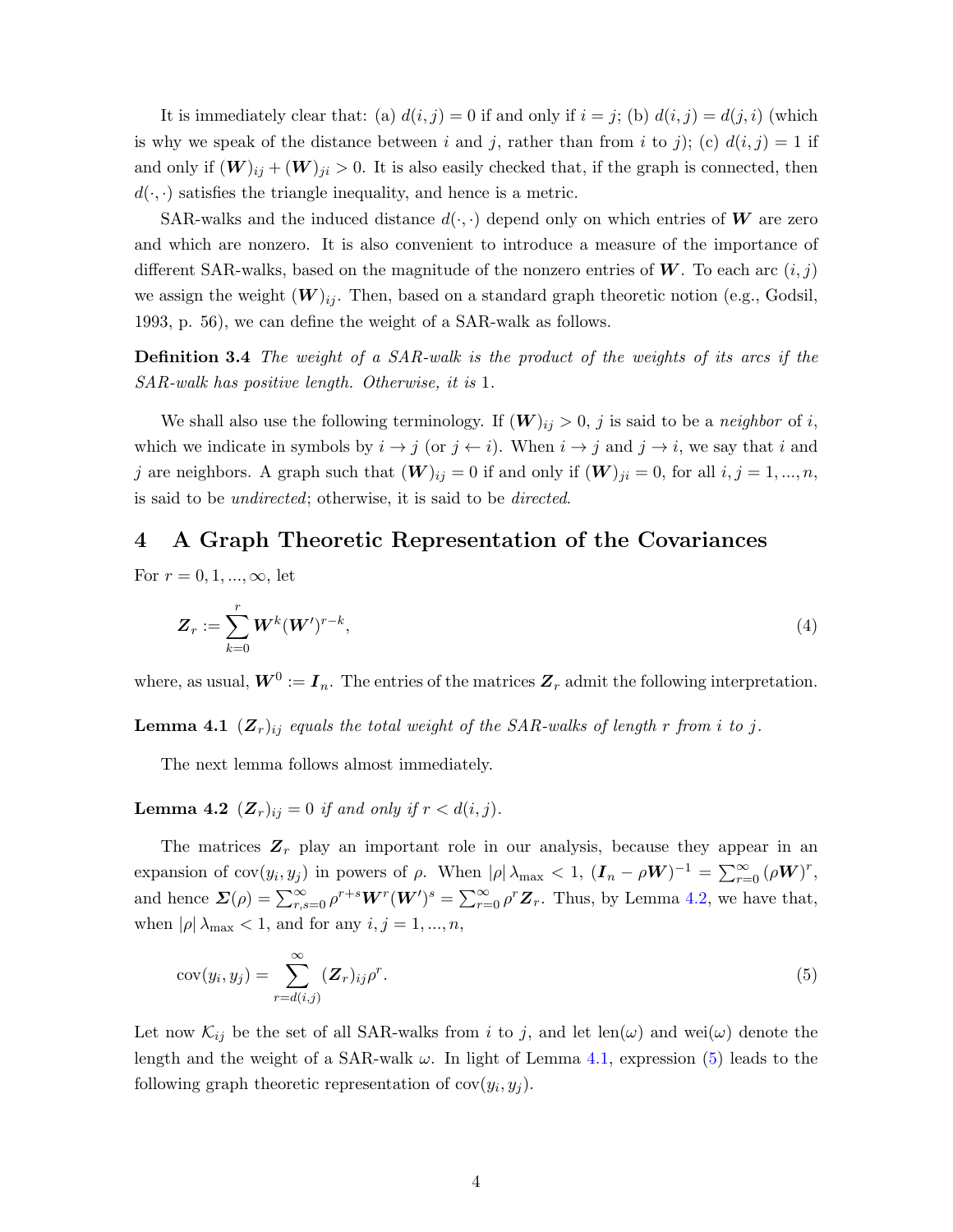It is immediately clear that: (a)  $d(i, j) = 0$  if and only if  $i = j$ ; (b)  $d(i, j) = d(j, i)$  (which is why we speak of the distance between i and j, rather than from i to j); (c)  $d(i, j) = 1$  if and only if  $(W)_{ij} + (W)_{ji} > 0$ . It is also easily checked that, if the graph is connected, then  $d(\cdot, \cdot)$  satisfies the triangle inequality, and hence is a metric.

SAR-walks and the induced distance  $d(\cdot, \cdot)$  depend only on which entries of W are zero and which are nonzero. It is also convenient to introduce a measure of the importance of different SAR-walks, based on the magnitude of the nonzero entries of  $W$ . To each arc  $(i, j)$ we assign the weight  $(W)_{ij}$ . Then, based on a standard graph theoretic notion (e.g., Godsil, 1993, p. 56), we can define the weight of a SAR-walk as follows.

Definition 3.4 The weight of a SAR-walk is the product of the weights of its arcs if the SAR-walk has positive length. Otherwise, it is 1.

We shall also use the following terminology. If  $(W)_{ij} > 0$ , j is said to be a neighbor of i, which we indicate in symbols by  $i \to j$  (or  $j \leftarrow i$ ). When  $i \to j$  and  $j \to i$ , we say that i and j are neighbors. A graph such that  $(W)_{ij} = 0$  if and only if  $(W)_{ji} = 0$ , for all  $i, j = 1, ..., n$ , is said to be undirected; otherwise, it is said to be directed.

# <span id="page-6-0"></span>4 A Graph Theoretic Representation of the Covariances

For  $r = 0, 1, ..., \infty$ , let

<span id="page-6-5"></span>
$$
\boldsymbol{Z}_r := \sum_{k=0}^r \boldsymbol{W}^k (\boldsymbol{W}')^{r-k},\tag{4}
$$

<span id="page-6-2"></span>where, as usual,  $W^0 := I_n$ . The entries of the matrices  $Z_r$  admit the following interpretation.

**Lemma 4.1**  $(Z_r)_{ij}$  equals the total weight of the SAR-walks of length r from i to j.

The next lemma follows almost immediately.

<span id="page-6-1"></span>**Lemma 4.2**  $(Z_r)_{ij} = 0$  if and only if  $r < d(i, j)$ .

The matrices  $\mathbf{Z}_r$  play an important role in our analysis, because they appear in an expansion of  $cov(y_i, y_j)$  in powers of  $\rho$ . When  $|\rho| \lambda_{\max} < 1$ ,  $(I_n - \rho W)^{-1} = \sum_{r=0}^{\infty} (\rho W)^r$ , and hence  $\mathbf{\Sigma}(\rho) = \sum_{r,s=0}^{\infty} \rho^{r+s} \mathbf{W}^r(\mathbf{W}')^s = \sum_{r=0}^{\infty} \rho^r \mathbf{Z}_r$ . Thus, by Lemma [4.2,](#page-6-1) we have that, when  $|\rho| \lambda_{\text{max}} < 1$ , and for any  $i, j = 1, ..., n$ ,

<span id="page-6-3"></span>
$$
cov(y_i, y_j) = \sum_{r=d(i,j)}^{\infty} (\mathbf{Z}_r)_{ij} \rho^r.
$$
\n(5)

<span id="page-6-4"></span>Let now  $\mathcal{K}_{ij}$  be the set of all SAR-walks from i to j, and let len( $\omega$ ) and wei $(\omega)$  denote the length and the weight of a SAR-walk  $\omega$ . In light of Lemma [4.1,](#page-6-2) expression [\(5\)](#page-6-3) leads to the following graph theoretic representation of  $cov(y_i, y_j)$ .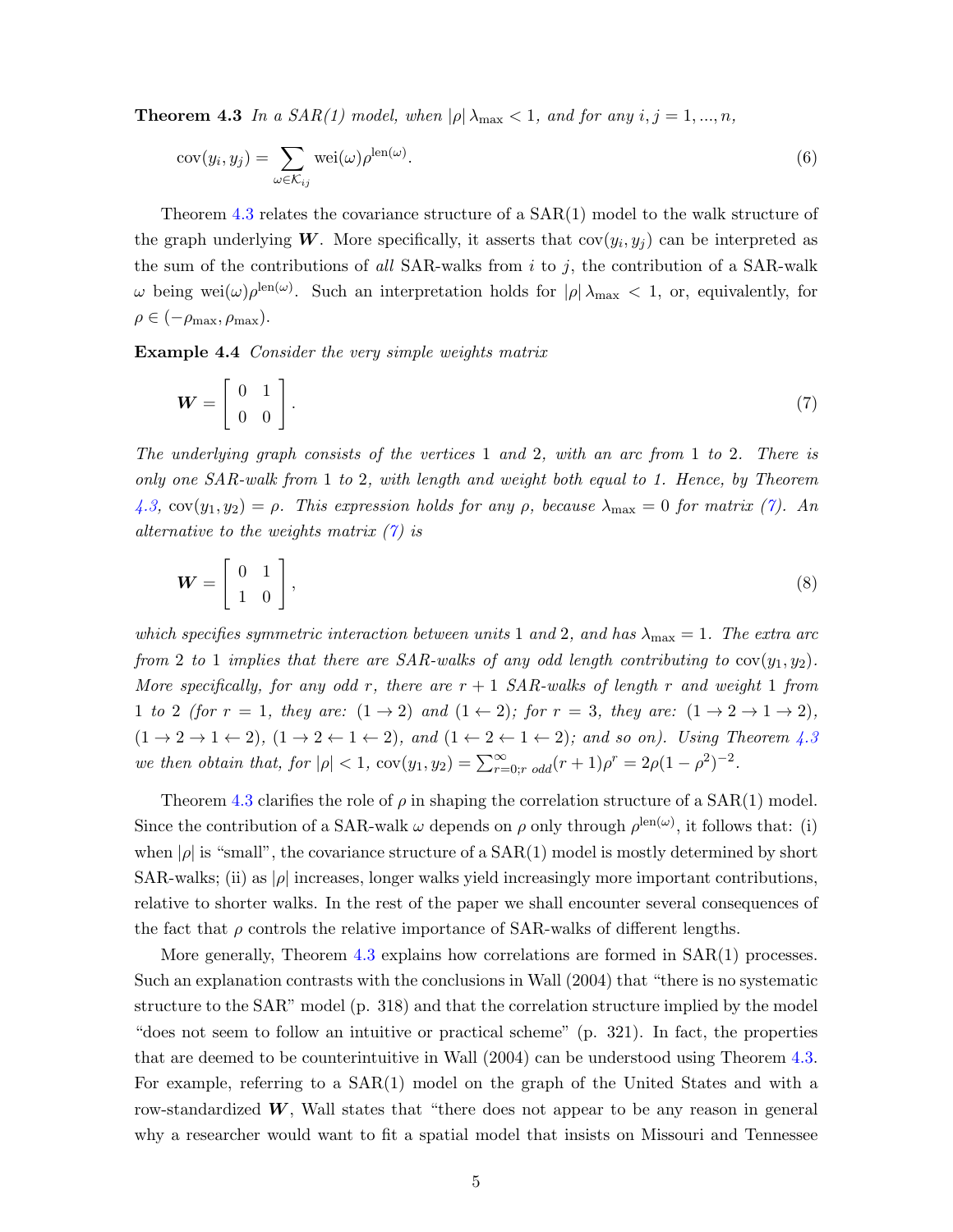**Theorem 4.3** In a SAR(1) model, when  $|\rho| \lambda_{\text{max}} < 1$ , and for any  $i, j = 1, ..., n$ ,

<span id="page-7-1"></span>
$$
cov(y_i, y_j) = \sum_{\omega \in \mathcal{K}_{ij}} \text{wei}(\omega) \rho^{\text{len}(\omega)}.
$$
\n(6)

Theorem [4.3](#page-6-4) relates the covariance structure of a  $SAR(1)$  model to the walk structure of the graph underlying W. More specifically, it asserts that  $cov(y_i, y_j)$  can be interpreted as the sum of the contributions of all SAR-walks from  $i$  to  $j$ , the contribution of a SAR-walk  $\omega$  being wei $(\omega)$ <sub>*ρ*</sub><sup>len(ω)</sup>. Such an interpretation holds for  $|\rho| \lambda_{\max} < 1$ , or, equivalently, for  $\rho \in (-\rho_{\text{max}}, \rho_{\text{max}}).$ 

Example 4.4 Consider the very simple weights matrix

<span id="page-7-0"></span>
$$
\boldsymbol{W} = \left[ \begin{array}{cc} 0 & 1 \\ 0 & 0 \end{array} \right].\tag{7}
$$

The underlying graph consists of the vertices 1 and 2, with an arc from 1 to 2. There is only one SAR-walk from 1 to 2, with length and weight both equal to 1. Hence, by Theorem [4.3,](#page-6-4)  $cov(y_1, y_2) = \rho$ . This expression holds for any  $\rho$ , because  $\lambda_{\text{max}} = 0$  for matrix [\(7\)](#page-7-0). An alternative to the weights matrix  $(7)$  is

$$
\boldsymbol{W} = \left[ \begin{array}{cc} 0 & 1 \\ 1 & 0 \end{array} \right],\tag{8}
$$

which specifies symmetric interaction between units 1 and 2, and has  $\lambda_{\text{max}} = 1$ . The extra arc from 2 to 1 implies that there are SAR-walks of any odd length contributing to  $cov(y_1, y_2)$ . More specifically, for any odd r, there are  $r + 1$  SAR-walks of length r and weight 1 from 1 to 2 (for  $r = 1$ , they are:  $(1 \rightarrow 2)$  and  $(1 \leftarrow 2)$ ; for  $r = 3$ , they are:  $(1 \rightarrow 2 \rightarrow 1 \rightarrow 2)$ ,  $(1 \rightarrow 2 \rightarrow 1 \leftarrow 2)$ ,  $(1 \rightarrow 2 \leftarrow 1 \leftarrow 2)$ , and  $(1 \leftarrow 2 \leftarrow 1 \leftarrow 2)$ ; and so on). Using Theorem [4.3](#page-6-4) we then obtain that, for  $|\rho| < 1$ ,  $cov(y_1, y_2) = \sum_{r=0; r \text{ odd}}^{\infty} (r+1)\rho^r = 2\rho(1-\rho^2)^{-2}$ .

Theorem [4.3](#page-6-4) clarifies the role of  $\rho$  in shaping the correlation structure of a SAR(1) model. Since the contribution of a SAR-walk  $\omega$  depends on  $\rho$  only through  $\rho^{\text{len}(\omega)}$ , it follows that: (i) when  $|\rho|$  is "small", the covariance structure of a  $SAR(1)$  model is mostly determined by short SAR-walks; (ii) as  $|\rho|$  increases, longer walks yield increasingly more important contributions, relative to shorter walks. In the rest of the paper we shall encounter several consequences of the fact that  $\rho$  controls the relative importance of SAR-walks of different lengths.

More generally, Theorem [4.3](#page-6-4) explains how correlations are formed in SAR(1) processes. Such an explanation contrasts with the conclusions in Wall (2004) that "there is no systematic structure to the SAR" model (p. 318) and that the correlation structure implied by the model "does not seem to follow an intuitive or practical scheme" (p. 321). In fact, the properties that are deemed to be counterintuitive in Wall (2004) can be understood using Theorem [4.3.](#page-6-4) For example, referring to a SAR(1) model on the graph of the United States and with a row-standardized  $W$ , Wall states that "there does not appear to be any reason in general why a researcher would want to fit a spatial model that insists on Missouri and Tennessee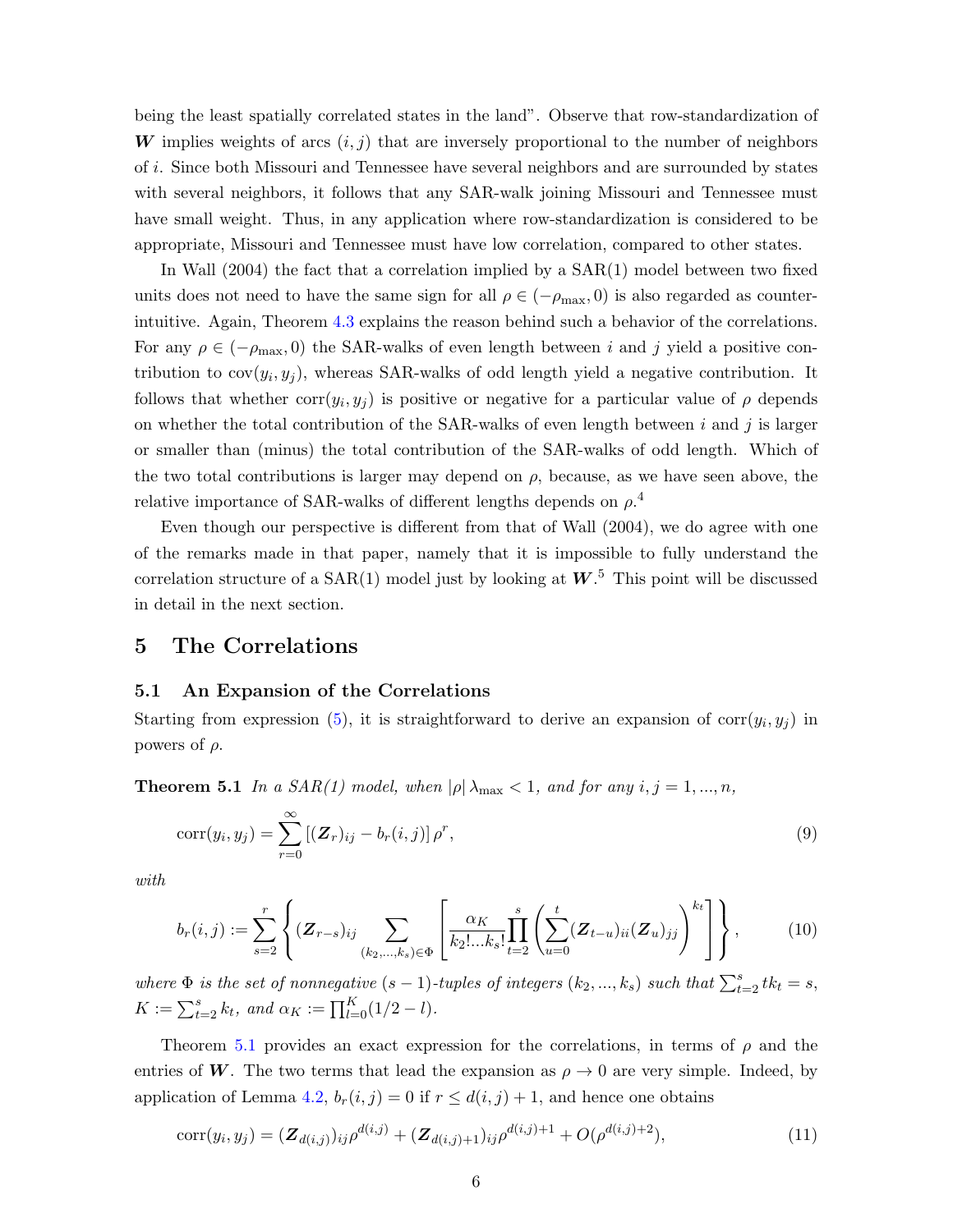being the least spatially correlated states in the land". Observe that row-standardization of W implies weights of arcs  $(i, j)$  that are inversely proportional to the number of neighbors of i. Since both Missouri and Tennessee have several neighbors and are surrounded by states with several neighbors, it follows that any SAR-walk joining Missouri and Tennessee must have small weight. Thus, in any application where row-standardization is considered to be appropriate, Missouri and Tennessee must have low correlation, compared to other states.

In Wall (2004) the fact that a correlation implied by a SAR(1) model between two fixed units does not need to have the same sign for all  $\rho \in (-\rho_{\text{max}}, 0)$  is also regarded as counterintuitive. Again, Theorem [4.3](#page-6-4) explains the reason behind such a behavior of the correlations. For any  $\rho \in (-\rho_{\text{max}}, 0)$  the SAR-walks of even length between i and j yield a positive contribution to  $cov(y_i, y_j)$ , whereas SAR-walks of odd length yield a negative contribution. It follows that whether  $corr(y_i, y_j)$  is positive or negative for a particular value of  $\rho$  depends on whether the total contribution of the SAR-walks of even length between  $i$  and  $j$  is larger or smaller than (minus) the total contribution of the SAR-walks of odd length. Which of the two total contributions is larger may depend on  $\rho$ , because, as we have seen above, the relative importance of SAR-walks of different lengths depends on  $\rho$ <sup>4</sup>

Even though our perspective is different from that of Wall (2004), we do agree with one of the remarks made in that paper, namely that it is impossible to fully understand the correlation structure of a  $SAR(1)$  model just by looking at  $W$ <sup>5</sup>. This point will be discussed in detail in the next section.

## <span id="page-8-0"></span>5 The Correlations

#### 5.1 An Expansion of the Correlations

Starting from expression [\(5\)](#page-6-3), it is straightforward to derive an expansion of  $\text{corr}(y_i, y_j)$  in powers of  $\rho$ .

<span id="page-8-1"></span>**Theorem 5.1** In a SAR(1) model, when  $|\rho| \lambda_{\text{max}} < 1$ , and for any  $i, j = 1, ..., n$ ,

<span id="page-8-2"></span>
$$
corr(y_i, y_j) = \sum_{r=0}^{\infty} \left[ (\mathbf{Z}_r)_{ij} - b_r(i, j) \right] \rho^r,
$$
\n(9)

with

$$
b_r(i,j) := \sum_{s=2}^r \left\{ (\mathbf{Z}_{r-s})_{ij} \sum_{(k_2,\dots,k_s) \in \Phi} \left[ \frac{\alpha_K}{k_2! \dots k_s!} \prod_{t=2}^s \left( \sum_{u=0}^t (\mathbf{Z}_{t-u})_{ii} (\mathbf{Z}_u)_{jj} \right)^{k_t} \right] \right\},
$$
(10)

where  $\Phi$  is the set of nonnegative  $(s-1)$ -tuples of integers  $(k_2, ..., k_s)$  such that  $\sum_{t=2}^{s} tk_t = s$ ,  $K := \sum_{t=2}^{s} k_t$ , and  $\alpha_K := \prod_{l=0}^{K} (1/2 - l)$ .

Theorem [5.1](#page-8-1) provides an exact expression for the correlations, in terms of  $\rho$  and the entries of W. The two terms that lead the expansion as  $\rho \to 0$  are very simple. Indeed, by application of Lemma [4.2,](#page-6-1)  $b_r(i, j) = 0$  if  $r \leq d(i, j) + 1$ , and hence one obtains

<span id="page-8-3"></span>
$$
corr(y_i, y_j) = (\mathbf{Z}_{d(i,j)})_{ij} \rho^{d(i,j)} + (\mathbf{Z}_{d(i,j)+1})_{ij} \rho^{d(i,j)+1} + O(\rho^{d(i,j)+2}), \qquad (11)
$$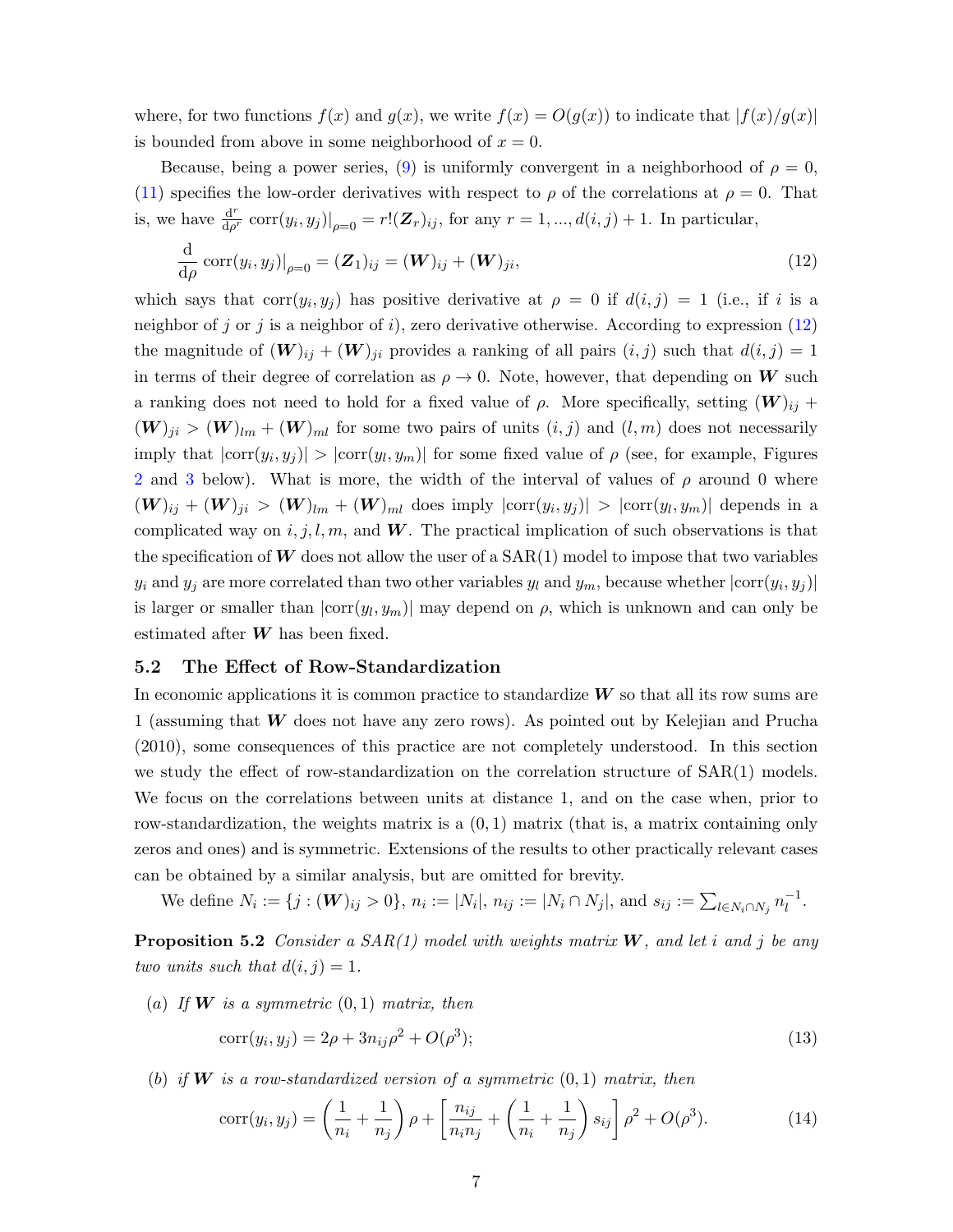where, for two functions  $f(x)$  and  $g(x)$ , we write  $f(x) = O(g(x))$  to indicate that  $|f(x)/g(x)|$ is bounded from above in some neighborhood of  $x = 0$ .

Because, being a power series, [\(9\)](#page-8-2) is uniformly convergent in a neighborhood of  $\rho = 0$ , [\(11\)](#page-8-3) specifies the low-order derivatives with respect to  $\rho$  of the correlations at  $\rho = 0$ . That is, we have  $\frac{d^r}{dx^i}$  $\frac{d^r}{d\rho^r} \operatorname{corr}(y_i, y_j)|_{\rho=0} = r!(\mathbf{Z}_r)_{ij}$ , for any  $r = 1, ..., d(i, j) + 1$ . In particular,

<span id="page-9-0"></span>
$$
\frac{\mathrm{d}}{\mathrm{d}\rho}\,\mathrm{corr}(y_i, y_j)|_{\rho=0} = (\mathbf{Z}_1)_{ij} = (\mathbf{W})_{ij} + (\mathbf{W})_{ji},\tag{12}
$$

which says that  $corr(y_i, y_j)$  has positive derivative at  $\rho = 0$  if  $d(i, j) = 1$  (i.e., if i is a neighbor of j or j is a neighbor of i), zero derivative otherwise. According to expression  $(12)$ the magnitude of  $(W)_{ij} + (W)_{ji}$  provides a ranking of all pairs  $(i, j)$  such that  $d(i, j) = 1$ in terms of their degree of correlation as  $\rho \to 0$ . Note, however, that depending on W such a ranking does not need to hold for a fixed value of  $\rho$ . More specifically, setting  $(\mathbf{W})_{ij}$  +  $(W)_{ji} > (W)_{lm} + (W)_{ml}$  for some two pairs of units  $(i, j)$  and  $(l, m)$  does not necessarily imply that  $|\text{corr}(y_i, y_j)| > |\text{corr}(y_l, y_m)|$  for some fixed value of  $\rho$  (see, for example, Figures [2](#page-11-0) and [3](#page-12-0) below). What is more, the width of the interval of values of  $\rho$  around 0 where  $(\boldsymbol{W})_{ij} + (\boldsymbol{W})_{ji} > (\boldsymbol{W})_{lm} + (\boldsymbol{W})_{ml}$  does imply  $|\text{corr}(y_i, y_j)| > |\text{corr}(y_l, y_m)|$  depends in a complicated way on  $i, j, l, m$ , and W. The practical implication of such observations is that the specification of  $W$  does not allow the user of a  $SAR(1)$  model to impose that two variables  $y_i$  and  $y_j$  are more correlated than two other variables  $y_l$  and  $y_m$ , because whether  $|\text{corr}(y_i, y_j)|$ is larger or smaller than  $|\text{corr}(y_l, y_m)|$  may depend on  $\rho$ , which is unknown and can only be estimated after  $W$  has been fixed.

#### 5.2 The Effect of Row-Standardization

In economic applications it is common practice to standardize  $W$  so that all its row sums are 1 (assuming that W does not have any zero rows). As pointed out by Kelejian and Prucha (2010), some consequences of this practice are not completely understood. In this section we study the effect of row-standardization on the correlation structure of SAR(1) models. We focus on the correlations between units at distance 1, and on the case when, prior to row-standardization, the weights matrix is a  $(0, 1)$  matrix (that is, a matrix containing only zeros and ones) and is symmetric. Extensions of the results to other practically relevant cases can be obtained by a similar analysis, but are omitted for brevity.

We define  $N_i := \{j : (\mathbf{W})_{ij} > 0\}, n_i := |N_i|, n_{ij} := |N_i \cap N_j|$ , and  $s_{ij} := \sum_{l \in N_i \cap N_j} n_l^{-1}$  $\frac{-1}{l}$ .

<span id="page-9-3"></span>**Proposition 5.2** Consider a SAR(1) model with weights matrix  $W$ , and let i and j be any two units such that  $d(i, j) = 1$ .

(a) If **W** is a symmetric  $(0, 1)$  matrix, then

<span id="page-9-2"></span><span id="page-9-1"></span>
$$
corr(y_i, y_j) = 2\rho + 3n_{ij}\rho^2 + O(\rho^3); \tag{13}
$$

(b) if **W** is a row-standardized version of a symmetric  $(0, 1)$  matrix, then

$$
corr(y_i, y_j) = \left(\frac{1}{n_i} + \frac{1}{n_j}\right)\rho + \left[\frac{n_{ij}}{n_i n_j} + \left(\frac{1}{n_i} + \frac{1}{n_j}\right)s_{ij}\right]\rho^2 + O(\rho^3).
$$
 (14)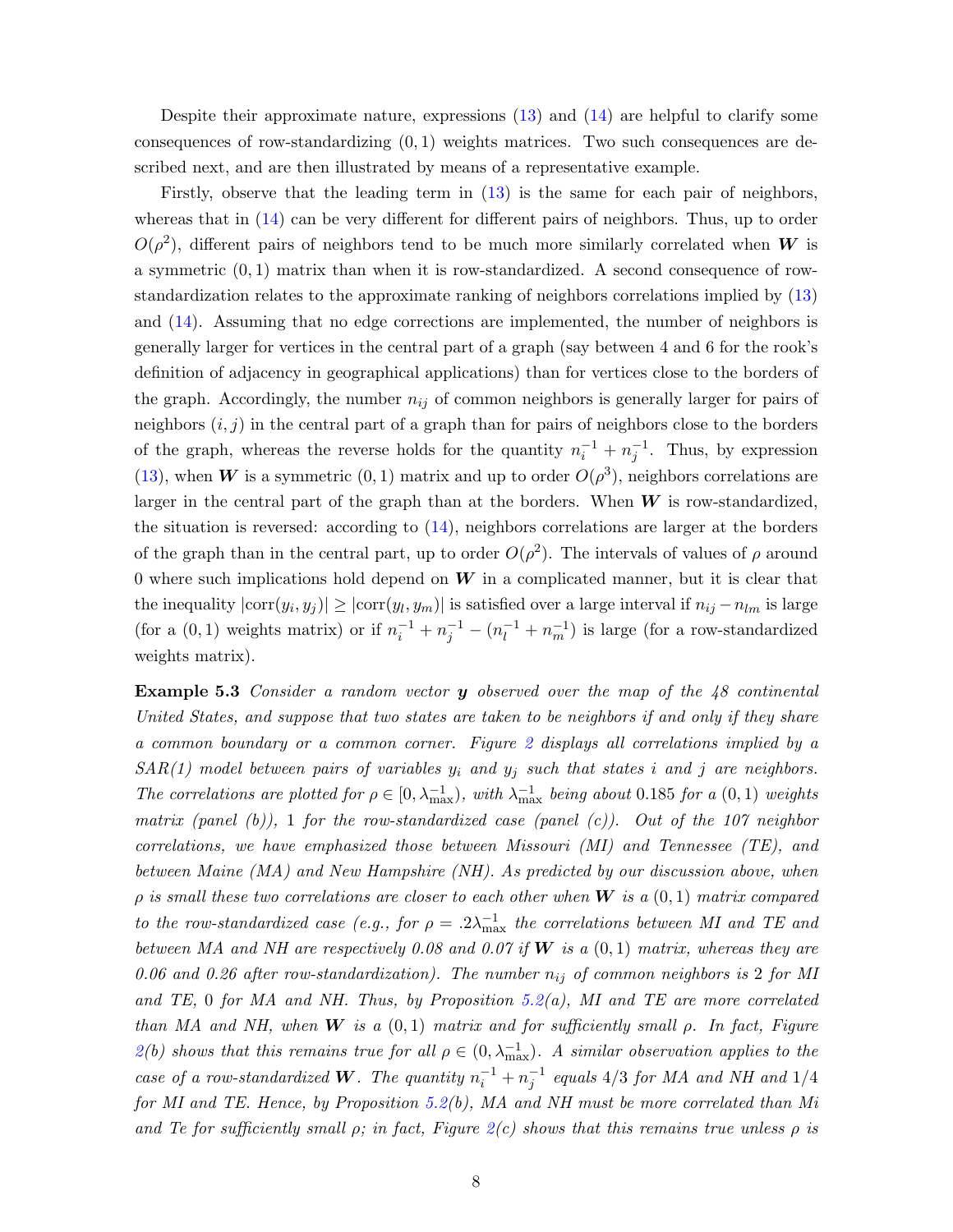Despite their approximate nature, expressions  $(13)$  and  $(14)$  are helpful to clarify some consequences of row-standardizing  $(0, 1)$  weights matrices. Two such consequences are described next, and are then illustrated by means of a representative example.

Firstly, observe that the leading term in [\(13\)](#page-9-1) is the same for each pair of neighbors, whereas that in  $(14)$  can be very different for different pairs of neighbors. Thus, up to order  $O(\rho^2)$ , different pairs of neighbors tend to be much more similarly correlated when W is a symmetric  $(0, 1)$  matrix than when it is row-standardized. A second consequence of rowstandardization relates to the approximate ranking of neighbors correlations implied by [\(13\)](#page-9-1) and [\(14\)](#page-9-2). Assuming that no edge corrections are implemented, the number of neighbors is generally larger for vertices in the central part of a graph (say between 4 and 6 for the rook's definition of adjacency in geographical applications) than for vertices close to the borders of the graph. Accordingly, the number  $n_{ij}$  of common neighbors is generally larger for pairs of neighbors  $(i, j)$  in the central part of a graph than for pairs of neighbors close to the borders of the graph, whereas the reverse holds for the quantity  $n_i^{-1} + n_j^{-1}$ . Thus, by expression [\(13\)](#page-9-1), when W is a symmetric (0, 1) matrix and up to order  $O(\rho^3)$ , neighbors correlations are larger in the central part of the graph than at the borders. When  $W$  is row-standardized, the situation is reversed: according to [\(14\)](#page-9-2), neighbors correlations are larger at the borders of the graph than in the central part, up to order  $O(\rho^2)$ . The intervals of values of  $\rho$  around 0 where such implications hold depend on  $W$  in a complicated manner, but it is clear that the inequality  $|\text{corr}(y_i, y_j)| \ge |\text{corr}(y_l, y_m)|$  is satisfied over a large interval if  $n_{ij} - n_{lm}$  is large (for a  $(0,1)$  weights matrix) or if  $n_i^{-1} + n_j^{-1} - (n_i^{-1} + n_m^{-1})$  is large (for a row-standardized weights matrix).

<span id="page-10-0"></span>Example 5.3 Consider a random vector y observed over the map of the 48 continental United States, and suppose that two states are taken to be neighbors if and only if they share a common boundary or a common corner. Figure [2](#page-11-0) displays all correlations implied by a  $SAR(1)$  model between pairs of variables  $y_i$  and  $y_j$  such that states i and j are neighbors. The correlations are plotted for  $\rho \in [0, \lambda_{\max}^{-1})$ , with  $\lambda_{\max}^{-1}$  being about 0.185 for a  $(0, 1)$  weights matrix (panel  $(b)$ ), 1 for the row-standardized case (panel  $(c)$ ). Out of the 107 neighbor correlations, we have emphasized those between Missouri (MI) and Tennessee (TE), and between Maine (MA) and New Hampshire (NH). As predicted by our discussion above, when  $\rho$  is small these two correlations are closer to each other when **W** is a  $(0,1)$  matrix compared to the row-standardized case (e.g., for  $\rho = .2\lambda_{\text{max}}^{-1}$  the correlations between MI and TE and between MA and NH are respectively 0.08 and 0.07 if **W** is a  $(0,1)$  matrix, whereas they are 0.06 and 0.26 after row-standardization). The number  $n_{ij}$  of common neighbors is 2 for MI and TE, 0 for MA and NH. Thus, by Proposition [5.2\(](#page-9-3)a), MI and TE are more correlated than MA and NH, when **W** is a  $(0,1)$  matrix and for sufficiently small  $\rho$ . In fact, Figure [2\(](#page-11-0)b) shows that this remains true for all  $\rho \in (0, \lambda_{\max}^{-1})$ . A similar observation applies to the case of a row-standardized **W**. The quantity  $n_i^{-1} + n_j^{-1}$  equals 4/3 for MA and NH and 1/4 for MI and TE. Hence, by Proposition [5.2\(](#page-9-3)b), MA and NH must be more correlated than Mi and Te for sufficiently small  $\rho$ ; in fact, Figure [2\(](#page-11-0)c) shows that this remains true unless  $\rho$  is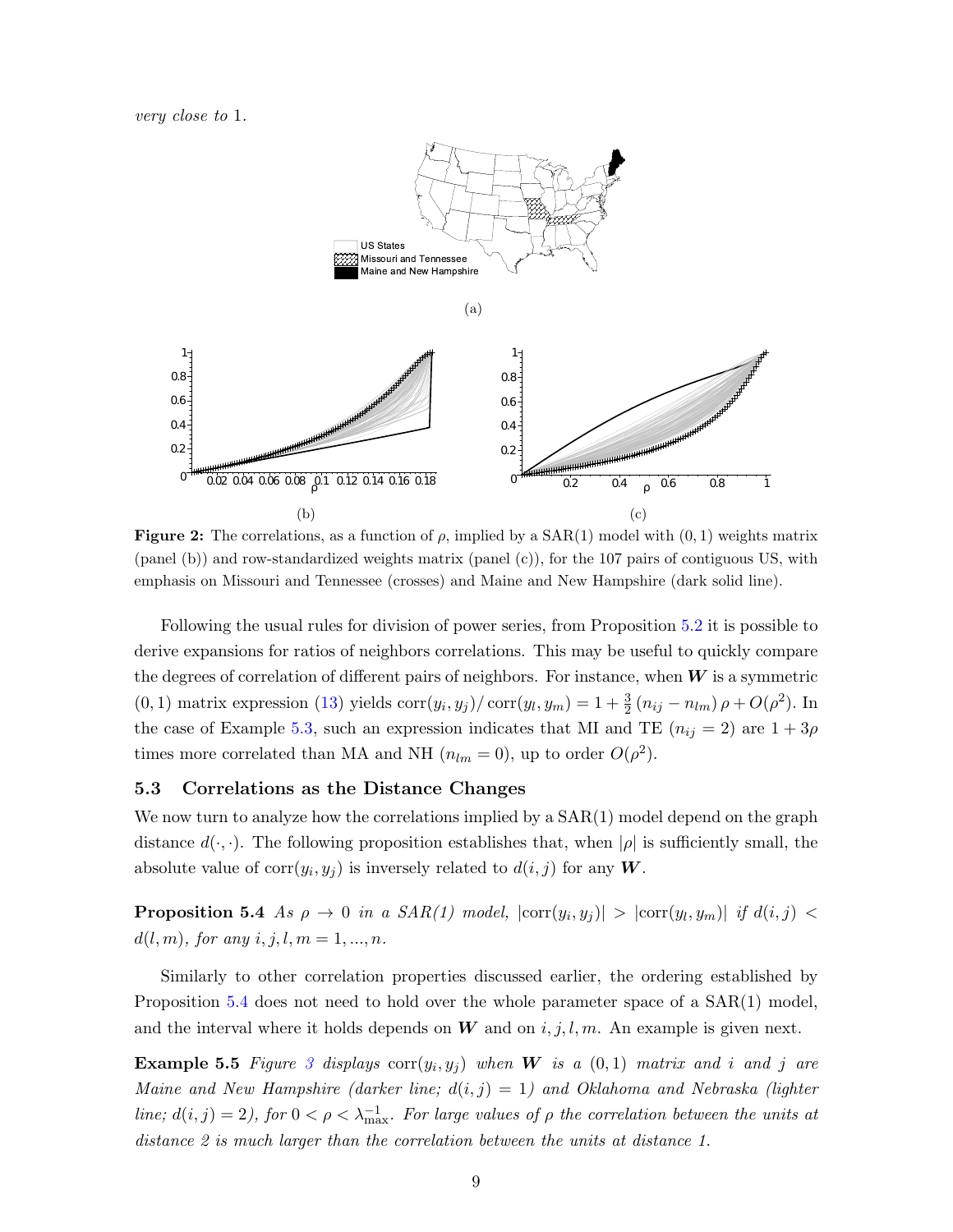very close to 1.



<span id="page-11-0"></span>**Figure 2:** The correlations, as a function of  $\rho$ , implied by a SAR(1) model with  $(0, 1)$  weights matrix (panel (b)) and row-standardized weights matrix (panel (c)), for the 107 pairs of contiguous US, with emphasis on Missouri and Tennessee (crosses) and Maine and New Hampshire (dark solid line).

Following the usual rules for division of power series, from Proposition [5.2](#page-9-3) it is possible to derive expansions for ratios of neighbors correlations. This may be useful to quickly compare the degrees of correlation of different pairs of neighbors. For instance, when  $W$  is a symmetric (0, 1) matrix expression [\(13\)](#page-9-1) yields  $\text{corr}(y_i, y_j) / \text{corr}(y_l, y_m) = 1 + \frac{3}{2} (n_{ij} - n_{lm}) \rho + O(\rho^2)$ . In the case of Example [5.3,](#page-10-0) such an expression indicates that MI and TE  $(n_{ij} = 2)$  are  $1 + 3\rho$ times more correlated than MA and NH  $(n_{lm} = 0)$ , up to order  $O(\rho^2)$ .

#### 5.3 Correlations as the Distance Changes

We now turn to analyze how the correlations implied by a  $SAR(1)$  model depend on the graph distance  $d(\cdot, \cdot)$ . The following proposition establishes that, when  $|\rho|$  is sufficiently small, the absolute value of  $\text{corr}(y_i, y_j)$  is inversely related to  $d(i, j)$  for any W.

<span id="page-11-1"></span>**Proposition 5.4** As  $\rho \to 0$  in a SAR(1) model,  $|\text{corr}(y_i, y_j)| > |\text{corr}(y_l, y_m)|$  if  $d(i, j) <$  $d(l, m)$ , for any  $i, j, l, m = 1, ..., n$ .

Similarly to other correlation properties discussed earlier, the ordering established by Proposition [5.4](#page-11-1) does not need to hold over the whole parameter space of a  $SAR(1)$  model, and the interval where it holds depends on  $W$  and on  $i, j, l, m$ . An example is given next.

<span id="page-11-2"></span>**Example 5.5** Figure [3](#page-12-0) displays  $\text{corr}(y_i, y_j)$  when W is a  $(0, 1)$  matrix and i and j are Maine and New Hampshire (darker line;  $d(i, j) = 1$ ) and Oklahoma and Nebraska (lighter line;  $d(i, j) = 2$ ), for  $0 < \rho < \lambda_{\text{max}}^{-1}$ . For large values of  $\rho$  the correlation between the units at distance 2 is much larger than the correlation between the units at distance 1.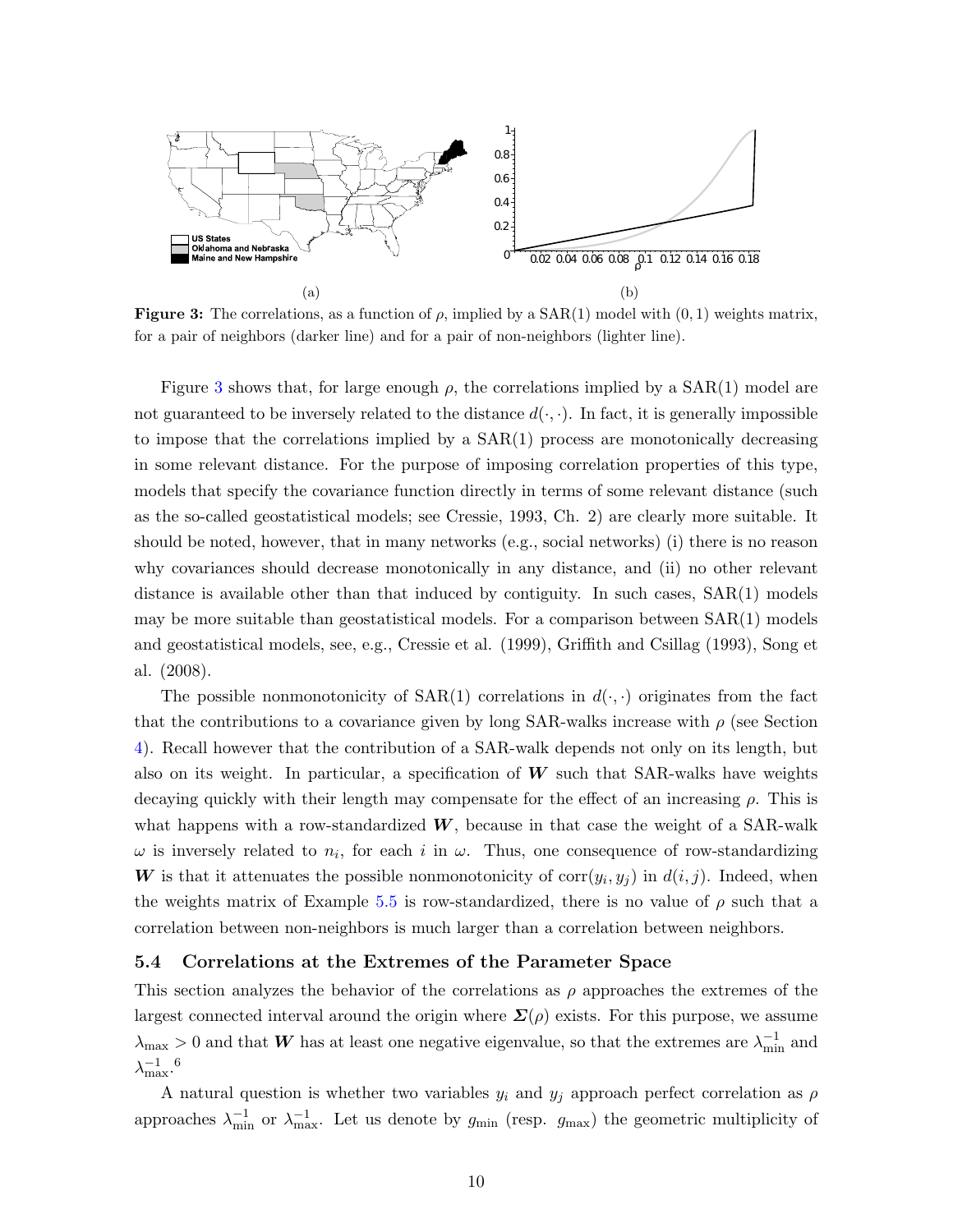

<span id="page-12-0"></span>**Figure 3:** The correlations, as a function of  $\rho$ , implied by a SAR(1) model with  $(0, 1)$  weights matrix, for a pair of neighbors (darker line) and for a pair of non-neighbors (lighter line).

Figure [3](#page-12-0) shows that, for large enough  $\rho$ , the correlations implied by a SAR(1) model are not guaranteed to be inversely related to the distance  $d(\cdot, \cdot)$ . In fact, it is generally impossible to impose that the correlations implied by a SAR(1) process are monotonically decreasing in some relevant distance. For the purpose of imposing correlation properties of this type, models that specify the covariance function directly in terms of some relevant distance (such as the so-called geostatistical models; see Cressie, 1993, Ch. 2) are clearly more suitable. It should be noted, however, that in many networks (e.g., social networks) (i) there is no reason why covariances should decrease monotonically in any distance, and (ii) no other relevant distance is available other than that induced by contiguity. In such cases,  $SAR(1)$  models may be more suitable than geostatistical models. For a comparison between  $SAR(1)$  models and geostatistical models, see, e.g., Cressie et al. (1999), Griffith and Csillag (1993), Song et al. (2008).

The possible nonmonotonicity of  $SAR(1)$  correlations in  $d(\cdot, \cdot)$  originates from the fact that the contributions to a covariance given by long SAR-walks increase with  $\rho$  (see Section [4\)](#page-6-0). Recall however that the contribution of a SAR-walk depends not only on its length, but also on its weight. In particular, a specification of  $W$  such that SAR-walks have weights decaying quickly with their length may compensate for the effect of an increasing  $\rho$ . This is what happens with a row-standardized  $W$ , because in that case the weight of a SAR-walk  $\omega$  is inversely related to  $n_i$ , for each i in  $\omega$ . Thus, one consequence of row-standardizing W is that it attenuates the possible nonmonotonicity of  $\text{corr}(y_i, y_j)$  in  $d(i, j)$ . Indeed, when the weights matrix of Example [5.5](#page-11-2) is row-standardized, there is no value of  $\rho$  such that a correlation between non-neighbors is much larger than a correlation between neighbors.

#### 5.4 Correlations at the Extremes of the Parameter Space

This section analyzes the behavior of the correlations as  $\rho$  approaches the extremes of the largest connected interval around the origin where  $\Sigma(\rho)$  exists. For this purpose, we assume  $\lambda_{\max} > 0$  and that W has at least one negative eigenvalue, so that the extremes are  $\lambda_{\min}^{-1}$  and  $\lambda^{-1}_{\max}$ .<sup>6</sup>

A natural question is whether two variables  $y_i$  and  $y_j$  approach perfect correlation as  $\rho$ approaches  $\lambda_{\min}^{-1}$  or  $\lambda_{\max}^{-1}$ . Let us denote by  $g_{\min}$  (resp.  $g_{\max}$ ) the geometric multiplicity of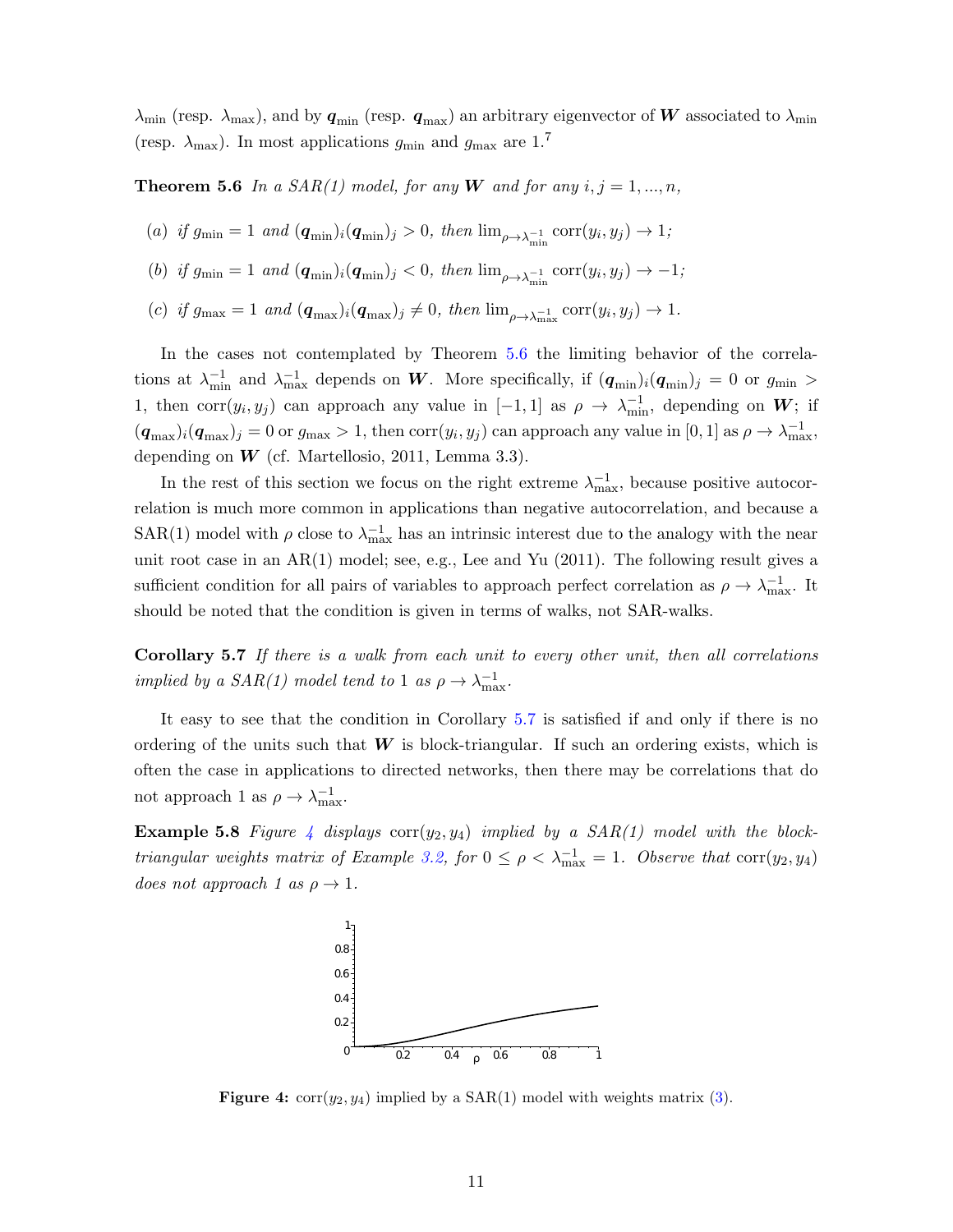$\lambda_{\min}$  (resp.  $\lambda_{\max}$ ), and by  $q_{\min}$  (resp.  $q_{\max}$ ) an arbitrary eigenvector of W associated to  $\lambda_{\min}$ (resp.  $\lambda_{\text{max}}$ ). In most applications  $g_{\text{min}}$  and  $g_{\text{max}}$  are 1.<sup>7</sup>

<span id="page-13-1"></span>**Theorem 5.6** In a SAR(1) model, for any W and for any  $i, j = 1, ..., n$ ,

- (a) if  $g_{\min} = 1$  and  $(\mathbf{q}_{\min})_i (\mathbf{q}_{\min})_j > 0$ , then  $\lim_{\rho \to \lambda_{\min}^{-1}} \text{corr}(y_i, y_j) \to 1$ ;
- (b) if  $g_{\min} = 1$  and  $(\mathbf{q}_{\min})_i(\mathbf{q}_{\min})_j < 0$ , then  $\lim_{\rho \to \lambda_{\min}^{-1}} \text{corr}(y_i, y_j) \to -1$ ;
- (c) if  $g_{\text{max}} = 1$  and  $(\mathbf{q}_{\text{max}})_i(\mathbf{q}_{\text{max}})_j \neq 0$ , then  $\lim_{\rho \to \lambda_{\text{max}}^{-1}} \text{corr}(y_i, y_j) \to 1$ .

In the cases not contemplated by Theorem [5.6](#page-13-1) the limiting behavior of the correlations at  $\lambda_{\min}^{-1}$  and  $\lambda_{\max}^{-1}$  depends on W. More specifically, if  $(q_{\min})_i (q_{\min})_j = 0$  or  $g_{\min} >$ 1, then corr $(y_i, y_j)$  can approach any value in  $[-1, 1]$  as  $\rho \to \lambda_{\min}^{-1}$ , depending on W; if  $(q_{\text{max}})_{i}(q_{\text{max}})_{j} = 0$  or  $g_{\text{max}} > 1$ , then corr $(y_i, y_j)$  can approach any value in [0, 1] as  $\rho \to \lambda_{\text{max}}^{-1}$ , depending on  $W$  (cf. Martellosio, 2011, Lemma 3.3).

In the rest of this section we focus on the right extreme  $\lambda_{\max}^{-1}$ , because positive autocorrelation is much more common in applications than negative autocorrelation, and because a SAR(1) model with  $\rho$  close to  $\lambda_{\text{max}}^{-1}$  has an intrinsic interest due to the analogy with the near unit root case in an  $AR(1)$  model; see, e.g., Lee and Yu (2011). The following result gives a sufficient condition for all pairs of variables to approach perfect correlation as  $\rho \to \lambda_{\max}^{-1}$ . It should be noted that the condition is given in terms of walks, not SAR-walks.

<span id="page-13-2"></span>Corollary 5.7 If there is a walk from each unit to every other unit, then all correlations implied by a  $SAR(1)$  model tend to 1 as  $\rho \rightarrow \lambda_{\max}^{-1}$ .

It easy to see that the condition in Corollary [5.7](#page-13-2) is satisfied if and only if there is no ordering of the units such that  $W$  is block-triangular. If such an ordering exists, which is often the case in applications to directed networks, then there may be correlations that do not approach 1 as  $\rho \to \lambda_{\text{max}}^{-1}$ .

**Example 5.8** Figure [4](#page-13-0) displays  $corr(y_2, y_4)$  implied by a  $SAR(1)$  model with the block-triangular weights matrix of Example [3.2,](#page-5-3) for  $0 \le \rho < \lambda_{\max}^{-1} = 1$ . Observe that  $\text{corr}(y_2, y_4)$ does not approach 1 as  $\rho \rightarrow 1$ .



<span id="page-13-0"></span>**Figure 4:**  $corr(y_2, y_4)$  implied by a  $SAR(1)$  model with weights matrix [\(3\)](#page-5-1).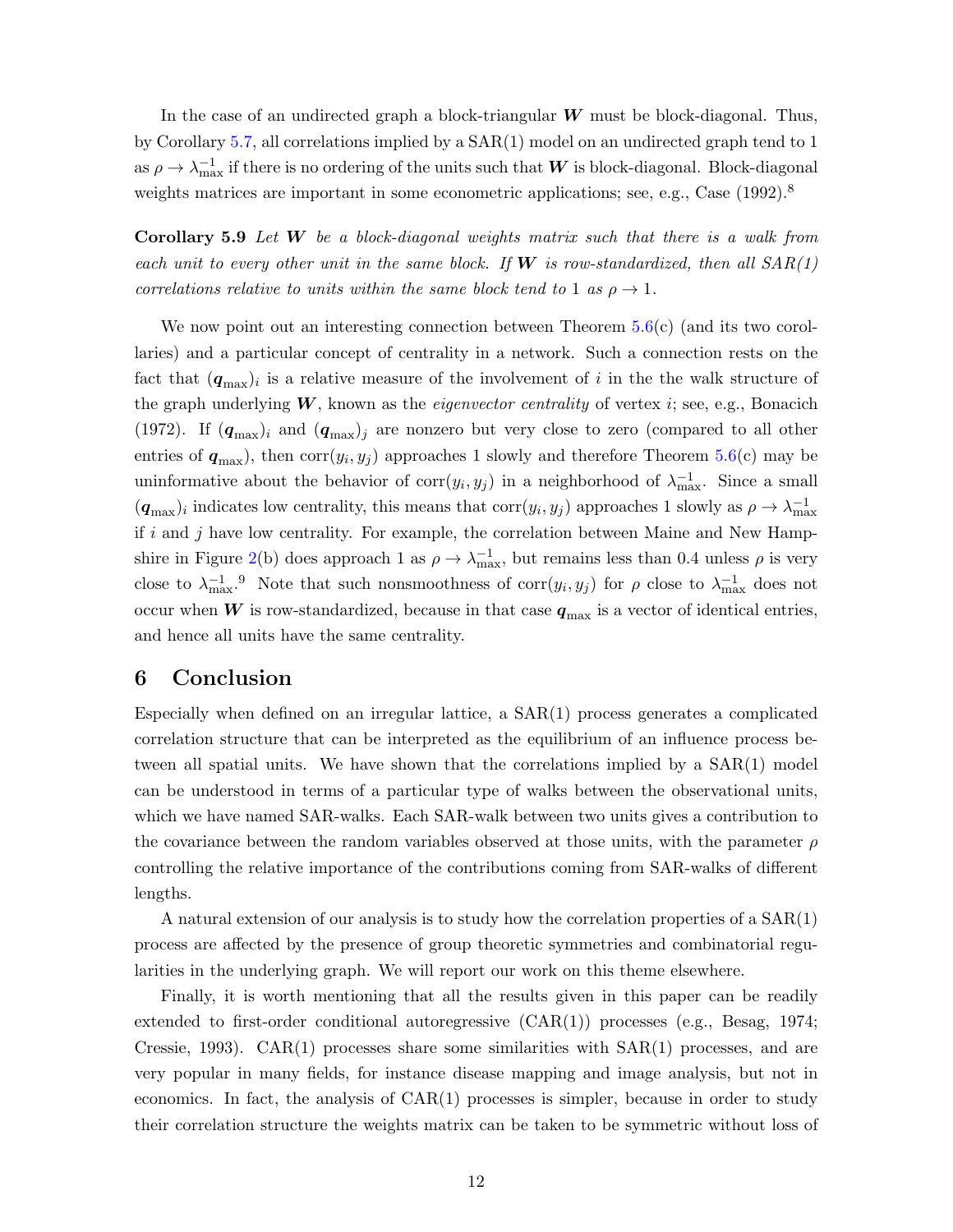In the case of an undirected graph a block-triangular  $W$  must be block-diagonal. Thus, by Corollary [5.7,](#page-13-2) all correlations implied by a SAR(1) model on an undirected graph tend to 1 as  $\rho \to \lambda_{\max}^{-1}$  if there is no ordering of the units such that  $\bm{W}$  is block-diagonal. Block-diagonal weights matrices are important in some econometric applications; see, e.g., Case (1992).<sup>8</sup>

<span id="page-14-1"></span>**Corollary 5.9** Let  $W$  be a block-diagonal weights matrix such that there is a walk from each unit to every other unit in the same block. If  $W$  is row-standardized, then all  $SAR(1)$ correlations relative to units within the same block tend to 1 as  $\rho \rightarrow 1$ .

We now point out an interesting connection between Theorem  $5.6(c)$  $5.6(c)$  (and its two corollaries) and a particular concept of centrality in a network. Such a connection rests on the fact that  $(q_{\text{max}})$  is a relative measure of the involvement of i in the the walk structure of the graph underlying  $W$ , known as the *eigenvector centrality* of vertex  $i$ ; see, e.g., Bonacich (1972). If  $(q_{\text{max}})$  and  $(q_{\text{max}})$  are nonzero but very close to zero (compared to all other entries of  $q_{\text{max}}$ ), then  $\text{corr}(y_i, y_j)$  approaches 1 slowly and therefore Theorem [5.6\(](#page-13-1)c) may be uninformative about the behavior of  $\text{corr}(y_i, y_j)$  in a neighborhood of  $\lambda_{\text{max}}^{-1}$ . Since a small  $(q_{\text{max}})$  indicates low centrality, this means that  $\text{corr}(y_i, y_j)$  approaches 1 slowly as  $\rho \to \lambda_{\text{max}}^{-1}$ if  $i$  and  $j$  have low centrality. For example, the correlation between Maine and New Hamp-shire in Figure [2\(](#page-11-0)b) does approach 1 as  $\rho \to \lambda_{\max}^{-1}$ , but remains less than 0.4 unless  $\rho$  is very close to  $\lambda_{\max}^{-1}$ . Note that such nonsmoothness of corr $(y_i, y_j)$  for  $\rho$  close to  $\lambda_{\max}^{-1}$  does not occur when W is row-standardized, because in that case  $q_{\text{max}}$  is a vector of identical entries, and hence all units have the same centrality.

# <span id="page-14-0"></span>6 Conclusion

Especially when defined on an irregular lattice, a  $SAR(1)$  process generates a complicated correlation structure that can be interpreted as the equilibrium of an influence process between all spatial units. We have shown that the correlations implied by a SAR(1) model can be understood in terms of a particular type of walks between the observational units, which we have named SAR-walks. Each SAR-walk between two units gives a contribution to the covariance between the random variables observed at those units, with the parameter  $\rho$ controlling the relative importance of the contributions coming from SAR-walks of different lengths.

A natural extension of our analysis is to study how the correlation properties of a SAR(1) process are affected by the presence of group theoretic symmetries and combinatorial regularities in the underlying graph. We will report our work on this theme elsewhere.

Finally, it is worth mentioning that all the results given in this paper can be readily extended to first-order conditional autoregressive (CAR(1)) processes (e.g., Besag, 1974; Cressie, 1993).  $CAR(1)$  processes share some similarities with  $SAR(1)$  processes, and are very popular in many fields, for instance disease mapping and image analysis, but not in economics. In fact, the analysis of CAR(1) processes is simpler, because in order to study their correlation structure the weights matrix can be taken to be symmetric without loss of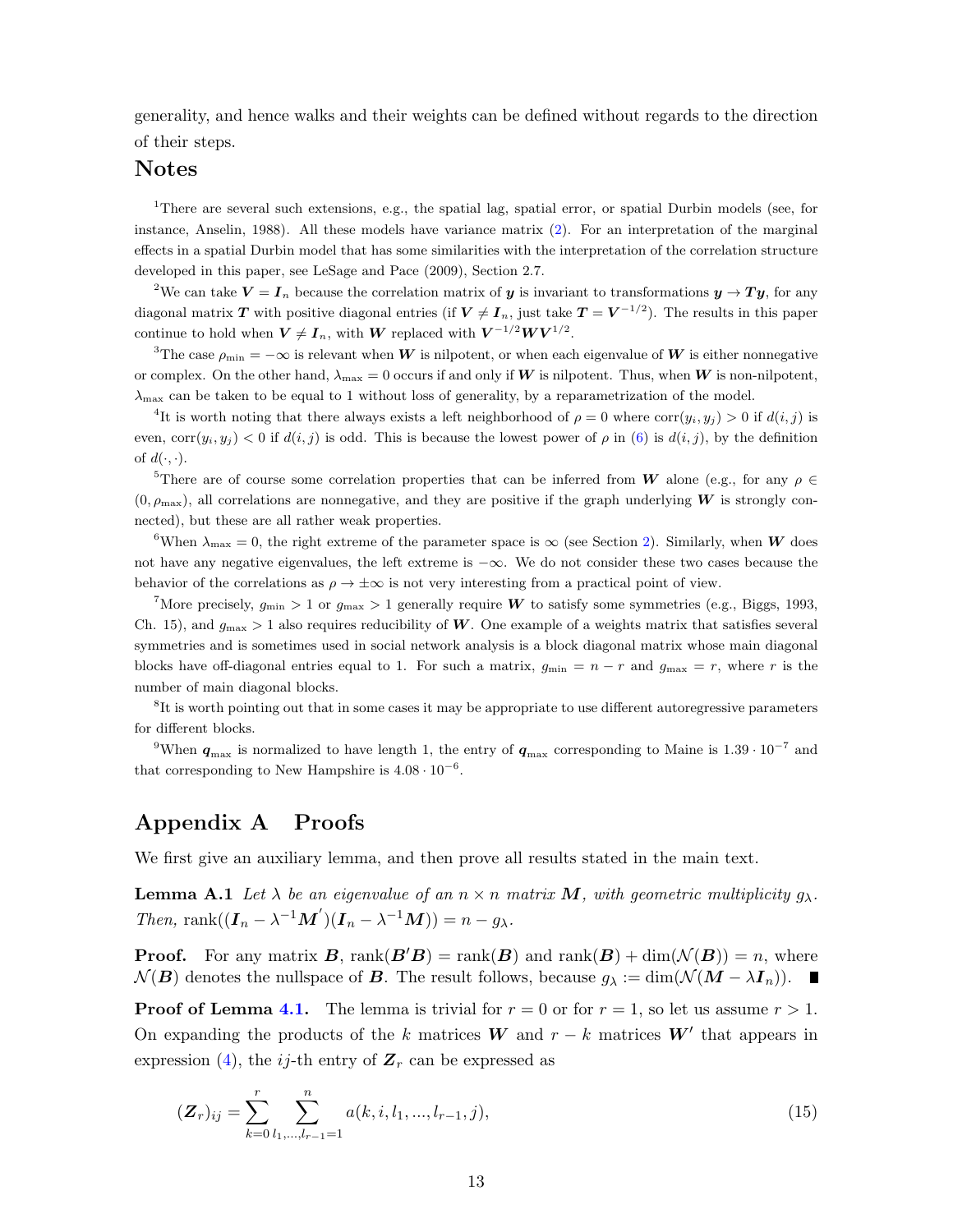generality, and hence walks and their weights can be defined without regards to the direction of their steps.

## Notes

<sup>1</sup>There are several such extensions, e.g., the spatial lag, spatial error, or spatial Durbin models (see, for instance, Anselin, 1988). All these models have variance matrix [\(2\)](#page-4-4). For an interpretation of the marginal effects in a spatial Durbin model that has some similarities with the interpretation of the correlation structure developed in this paper, see LeSage and Pace (2009), Section 2.7.

<sup>2</sup>We can take  $V = I_n$  because the correlation matrix of y is invariant to transformations  $y \to Ty$ , for any diagonal matrix  $T$  with positive diagonal entries (if  $V \neq I_n$ , just take  $T = V^{-1/2}$ ). The results in this paper continue to hold when  $V \neq I_n$ , with W replaced with  $V^{-1/2}WV^{1/2}$ .

<sup>3</sup>The case  $\rho_{\rm min} = -\infty$  is relevant when W is nilpotent, or when each eigenvalue of W is either nonnegative or complex. On the other hand,  $\lambda_{\text{max}} = 0$  occurs if and only if W is nilpotent. Thus, when W is non-nilpotent,  $\lambda_{\text{max}}$  can be taken to be equal to 1 without loss of generality, by a reparametrization of the model.

<sup>4</sup>It is worth noting that there always exists a left neighborhood of  $\rho = 0$  where corr $(y_i, y_j) > 0$  if  $d(i, j)$  is even, corr $(y_i, y_j) < 0$  if  $d(i, j)$  is odd. This is because the lowest power of  $\rho$  in [\(6\)](#page-7-1) is  $d(i, j)$ , by the definition of  $d(\cdot, \cdot)$ .

<sup>5</sup>There are of course some correlation properties that can be inferred from W alone (e.g., for any  $\rho \in$  $(0, \rho_{\text{max}})$ , all correlations are nonnegative, and they are positive if the graph underlying W is strongly connected), but these are all rather weak properties.

<sup>6</sup>When  $\lambda_{\text{max}} = 0$ , the right extreme of the parameter space is  $\infty$  (see Section [2\)](#page-3-0). Similarly, when **W** does not have any negative eigenvalues, the left extreme is −∞. We do not consider these two cases because the behavior of the correlations as  $\rho \to \pm \infty$  is not very interesting from a practical point of view.

<sup>7</sup>More precisely,  $g_{\text{min}} > 1$  or  $g_{\text{max}} > 1$  generally require W to satisfy some symmetries (e.g., Biggs, 1993, Ch. 15), and  $g_{\text{max}} > 1$  also requires reducibility of W. One example of a weights matrix that satisfies several symmetries and is sometimes used in social network analysis is a block diagonal matrix whose main diagonal blocks have off-diagonal entries equal to 1. For such a matrix,  $g_{\text{min}} = n - r$  and  $g_{\text{max}} = r$ , where r is the number of main diagonal blocks.

<sup>8</sup>It is worth pointing out that in some cases it may be appropriate to use different autoregressive parameters for different blocks.

<sup>9</sup>When  $q_{\text{max}}$  is normalized to have length 1, the entry of  $q_{\text{max}}$  corresponding to Maine is  $1.39 \cdot 10^{-7}$  and that corresponding to New Hampshire is  $4.08 \cdot 10^{-6}$ .

# Appendix A Proofs

We first give an auxiliary lemma, and then prove all results stated in the main text.

**Lemma A.1** Let  $\lambda$  be an eigenvalue of an  $n \times n$  matrix M, with geometric multiplicity  $g_{\lambda}$ . Then, rank $((\boldsymbol{I}_n - \lambda^{-1}\boldsymbol{M}')(\boldsymbol{I}_n - \lambda^{-1}\boldsymbol{M})) = n - g_{\lambda}$ .

**Proof.** For any matrix **B**, rank( $B(B)$  = rank( $B$ ) and rank( $B$ ) + dim( $\mathcal{N}(B)$ ) = n, where  $\mathcal{N}(B)$  denotes the nullspace of B. The result follows, because  $g_{\lambda} := \dim(\mathcal{N}(M - \lambda I_n)).$ 

**Proof of Lemma [4.1.](#page-6-2)** The lemma is trivial for  $r = 0$  or for  $r = 1$ , so let us assume  $r > 1$ . On expanding the products of the k matrices W and  $r - k$  matrices W' that appears in expression [\(4\)](#page-6-5), the *ij*-th entry of  $\mathbf{Z}_r$  can be expressed as

<span id="page-15-0"></span>
$$
(\mathbf{Z}_r)_{ij} = \sum_{k=0}^r \sum_{l_1,\dots,l_{r-1}=1}^n a(k,i,l_1,\dots,l_{r-1},j),
$$
\n(15)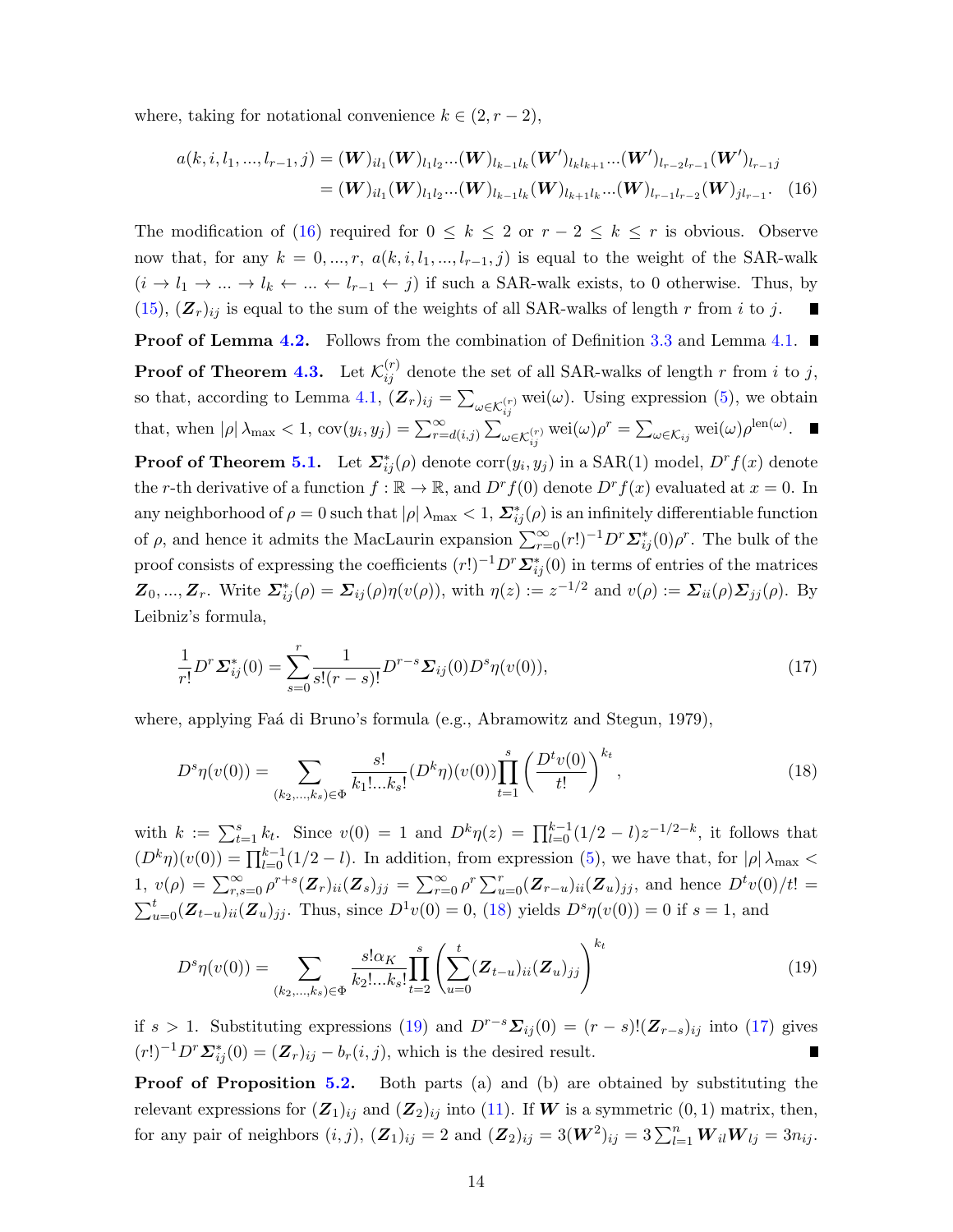where, taking for notational convenience  $k \in (2, r - 2)$ ,

<span id="page-16-0"></span>
$$
a(k, i, l_1, ..., l_{r-1}, j) = (\mathbf{W})_{il_1}(\mathbf{W})_{l_1l_2} ... (\mathbf{W})_{l_{k-1}l_k}(\mathbf{W}')_{l_kl_{k+1}} ... (\mathbf{W}')_{l_{r-2}l_{r-1}}(\mathbf{W}')_{l_{r-1}j}
$$
  
= (\mathbf{W})\_{il\_1}(\mathbf{W})\_{l\_1l\_2} ... (\mathbf{W})\_{l\_{k-1}l\_k}(\mathbf{W})\_{l\_{k+1}l\_k} ... (\mathbf{W})\_{l\_{r-1}l\_{r-2}}(\mathbf{W})\_{jl\_{r-1}}. (16)

The modification of [\(16\)](#page-16-0) required for  $0 \leq k \leq 2$  or  $r-2 \leq k \leq r$  is obvious. Observe now that, for any  $k = 0, ..., r$ ,  $a(k, i, l_1, ..., l_{r-1}, j)$  is equal to the weight of the SAR-walk  $(i \to l_1 \to \dots \to l_k \leftarrow \dots \leftarrow l_{r-1} \leftarrow j)$  if such a SAR-walk exists, to 0 otherwise. Thus, by  $(15)$ ,  $(\mathbf{Z}_r)_{ij}$  is equal to the sum of the weights of all SAR-walks of length r from i to j. П **Proof of Lemma [4.2.](#page-6-1)** Follows from the combination of Definition [3.3](#page-5-4) and Lemma [4.1.](#page-6-2) **Proof of Theorem [4.3.](#page-6-4)** Let  $\mathcal{K}_{ij}^{(r)}$  denote the set of all SAR-walks of length r from i to j, so that, according to Lemma [4.1,](#page-6-2)  $(Z_r)_{ij} = \sum_{\omega \in \mathcal{K}_{ij}^{(r)}} \text{wei}(\omega)$ . Using expression [\(5\)](#page-6-3), we obtain that, when  $|\rho| \lambda_{\max} < 1$ ,  $cov(y_i, y_j) = \sum_{r=d(i,j)}^{\infty} \sum_{\omega \in \mathcal{K}_{ij}^{(r)}} w \text{ei}(\omega) \rho^r = \sum_{\omega \in \mathcal{K}_{ij}} w \text{ei}(\omega) \rho^{\text{len}(\omega)}$ . **Proof of Theorem [5.1.](#page-8-1)** Let  $\sum_{ij}^{*}(\rho)$  denote  $\text{corr}(y_i, y_j)$  in a SAR(1) model,  $D^r f(x)$  denote the r-th derivative of a function  $f : \mathbb{R} \to \mathbb{R}$ , and  $D^r f(0)$  denote  $D^r f(x)$  evaluated at  $x = 0$ . In any neighborhood of  $\rho = 0$  such that  $|\rho| \lambda_{\max} < 1$ ,  $\sum_{ij}^* (\rho)$  is an infinitely differentiable function of  $\rho$ , and hence it admits the MacLaurin expansion  $\sum_{r=0}^{\infty} (r!)^{-1} D^r \mathcal{L}_{ij}^*(0) \rho^r$ . The bulk of the proof consists of expressing the coefficients  $(r!)^{-1}D^r\mathcal{L}_{ij}^*(0)$  in terms of entries of the matrices  $\mathbf{Z}_0, ..., \mathbf{Z}_r$ . Write  $\mathbf{\Sigma}_{ij}^*(\rho) = \mathbf{\Sigma}_{ij}(\rho)\eta(v(\rho))$ , with  $\eta(z) := z^{-1/2}$  and  $v(\rho) := \mathbf{\Sigma}_{ii}(\rho)\mathbf{\Sigma}_{jj}(\rho)$ . By Leibniz's formula,

<span id="page-16-3"></span><span id="page-16-1"></span>
$$
\frac{1}{r!}D^r \Sigma_{ij}^*(0) = \sum_{s=0}^r \frac{1}{s!(r-s)!} D^{r-s} \Sigma_{ij}(0) D^s \eta(v(0)),\tag{17}
$$

where, applying Faá di Bruno's formula (e.g., Abramowitz and Stegun, 1979),

$$
D^{s}\eta(v(0)) = \sum_{(k_2,\ldots,k_s)\in\Phi} \frac{s!}{k_1!\ldots k_s!} (D^{k}\eta)(v(0)) \prod_{t=1}^{s} \left(\frac{D^{t}v(0)}{t!}\right)^{k_t},\tag{18}
$$

with  $k := \sum_{t=1}^{s} k_t$ . Since  $v(0) = 1$  and  $D^k \eta(z) = \prod_{l=0}^{k-1} (1/2 - l) z^{-1/2-k}$ , it follows that  $(D^k \eta)(v(0)) = \prod_{l=0}^{k-1} (1/2 - l)$ . In addition, from expression [\(5\)](#page-6-3), we have that, for  $|\rho| \lambda_{\max}$ 1,  $v(\rho) = \sum_{r,s=0}^{\infty} \rho^{r+s} (Z_r)_{ii}(Z_s)_{jj} = \sum_{r=0}^{\infty} \rho^r \sum_{u=0}^r (Z_{r-u})_{ii}(Z_u)_{jj}$ , and hence  $D^t v(0)/t! =$  $\sum_{u=0}^{t} (Z_{t-u})_{ii} (Z_u)_{jj}$ . Thus, since  $D^{1}v(0) = 0$ , [\(18\)](#page-16-1) yields  $D^{s}\eta(v(0)) = 0$  if  $s = 1$ , and

<span id="page-16-2"></span>
$$
D^{s}\eta(v(0)) = \sum_{(k_2,\ldots,k_s)\in\Phi} \frac{s!\alpha_K}{k_2!\ldots k_s!} \prod_{t=2}^{s} \left( \sum_{u=0}^{t} (\mathbf{Z}_{t-u})_{ii} (\mathbf{Z}_u)_{jj} \right)^{k_t}
$$
(19)

if s > 1. Substituting expressions [\(19\)](#page-16-2) and  $D^{r-s}\Sigma_{ij}(0) = (r-s)!(\mathbf{Z}_{r-s})_{ij}$  into [\(17\)](#page-16-3) gives  $(r!)^{-1}D^r\Sigma^*_{ij}(0) = (\mathbf{Z}_r)_{ij} - b_r(i,j)$ , which is the desired result. Г

**Proof of Proposition [5.2.](#page-9-3)** Both parts (a) and (b) are obtained by substituting the relevant expressions for  $(\mathbf{Z}_1)_{ij}$  and  $(\mathbf{Z}_2)_{ij}$  into [\(11\)](#page-8-3). If W is a symmetric  $(0, 1)$  matrix, then, for any pair of neighbors  $(i, j)$ ,  $(\mathbf{Z}_1)_{ij} = 2$  and  $(\mathbf{Z}_2)_{ij} = 3(\mathbf{W}^2)_{ij} = 3\sum_{l=1}^n \mathbf{W}_{il}\mathbf{W}_{lj} = 3n_{ij}$ .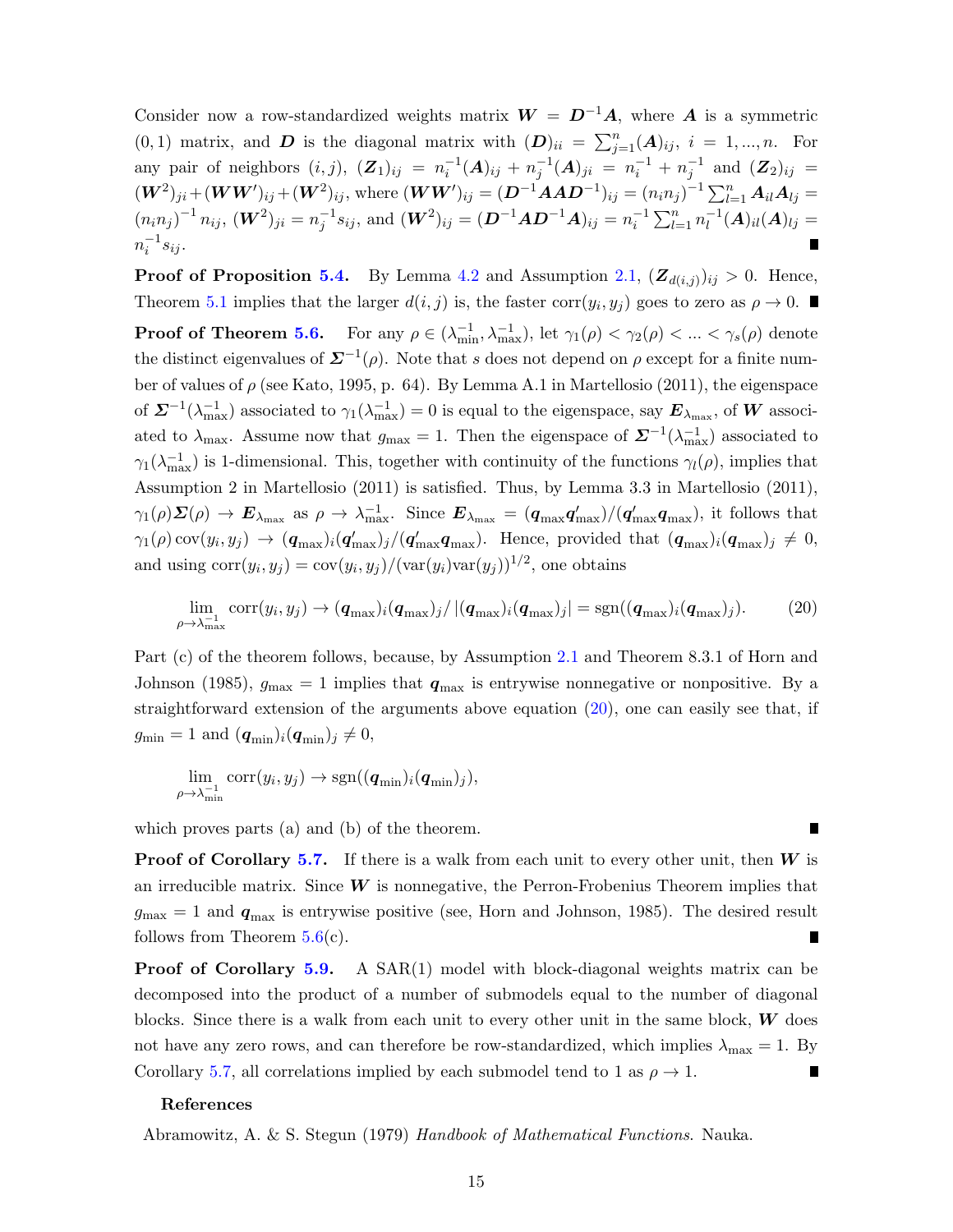Consider now a row-standardized weights matrix  $W = D^{-1}A$ , where A is a symmetric  $(0, 1)$  matrix, and **D** is the diagonal matrix with  $(D)_{ii} = \sum_{j=1}^{n} (A)_{ij}$ ,  $i = 1, ..., n$ . For any pair of neighbors  $(i, j)$ ,  $(Z_1)_{ij} = n_i^{-1}(A)_{ij} + n_j^{-1}(A)_{ji} = n_i^{-1} + n_j^{-1}$  and  $(Z_2)_{ij} =$  $(\bm{W}^2)_{ji} + (\bm{W}\bm{W}')_{ij} + (\bm{W}^2)_{ij}$ , where  $(\bm{W}\bm{W}')_{ij} = (\bm{D}^{-1}\bm{A}\bm{A}\bm{D}^{-1})_{ij} = (n_i n_j)^{-1} \sum_{l=1}^n \bm{A}_{il} \bm{A}_{lj} =$  $(n_i n_j)^{-1} n_{ij}, \, (\boldsymbol{W}^2)_{ji} = n_j^{-1} s_{ij}, \, \text{and } (\boldsymbol{W}^2)_{ij} = (\boldsymbol{D}^{-1} \boldsymbol{A} \boldsymbol{D}^{-1} \boldsymbol{A})_{ij} = n_i^{-1} \sum_{l=1}^n n_l^{-1}$  $_l^{-1}(\boldsymbol{A})_{il}(\boldsymbol{A})_{lj} =$  $n_i^{-1} s_{ij}$ .

**Proof of Proposition [5.4.](#page-11-1)** By Lemma [4.2](#page-6-1) and Assumption [2.1,](#page-4-2)  $(\mathbf{Z}_{d(i,j)})_{ij} > 0$ . Hence, Theorem [5.1](#page-8-1) implies that the larger  $d(i, j)$  is, the faster corr $(y_i, y_j)$  goes to zero as  $\rho \to 0$ .

**Proof of Theorem [5.6.](#page-13-1)** For any  $\rho \in (\lambda_{\min}^{-1}, \lambda_{\max}^{-1})$ , let  $\gamma_1(\rho) < \gamma_2(\rho) < ... < \gamma_s(\rho)$  denote the distinct eigenvalues of  $\mathbf{\Sigma}^{-1}(\rho)$ . Note that s does not depend on  $\rho$  except for a finite number of values of  $\rho$  (see Kato, 1995, p. 64). By Lemma A.1 in Martellosio (2011), the eigenspace of  $\mathbf{\Sigma}^{-1}(\lambda_{\max}^{-1})$  associated to  $\gamma_1(\lambda_{\max}^{-1})=0$  is equal to the eigenspace, say  $\mathbf{E}_{\lambda_{\max}}$ , of W associated to  $\lambda_{\text{max}}$ . Assume now that  $g_{\text{max}} = 1$ . Then the eigenspace of  $\mathbf{\Sigma}^{-1}(\lambda_{\text{max}}^{-1})$  associated to  $\gamma_1(\lambda_{\max}^{-1})$  is 1-dimensional. This, together with continuity of the functions  $\gamma_l(\rho)$ , implies that Assumption 2 in Martellosio (2011) is satisfied. Thus, by Lemma 3.3 in Martellosio (2011),  $\gamma_1(\rho) \Sigma(\rho) \to E_{\lambda_{\text{max}}}$  as  $\rho \to \lambda_{\text{max}}^{-1}$ . Since  $E_{\lambda_{\text{max}}} = (q_{\text{max}} q'_{\text{max}})/(q'_{\text{max}} q_{\text{max}})$ , it follows that  $\gamma_1(\rho)$  cov $(y_i, y_j) \to (\boldsymbol{q}_{\text{max}})_i(\boldsymbol{q}_{\text{max}}')_j/(\boldsymbol{q}_{\text{max}}'\boldsymbol{q}_{\text{max}}')$ . Hence, provided that  $(\boldsymbol{q}_{\text{max}})_i(\boldsymbol{q}_{\text{max}})_j \neq 0$ , and using  $\text{corr}(y_i, y_j) = \text{cov}(y_i, y_j) / (\text{var}(y_i) \text{var}(y_j))^{1/2}$ , one obtains

$$
\lim_{\rho \to \lambda_{\text{max}}^{-1}} \text{corr}(y_i, y_j) \to (\boldsymbol{q}_{\text{max}})_i (\boldsymbol{q}_{\text{max}})_j / |(\boldsymbol{q}_{\text{max}})_i (\boldsymbol{q}_{\text{max}})_j| = \text{sgn}((\boldsymbol{q}_{\text{max}})_i (\boldsymbol{q}_{\text{max}})_j). \tag{20}
$$

Part (c) of the theorem follows, because, by Assumption [2.1](#page-4-2) and Theorem 8.3.1 of Horn and Johnson (1985),  $g_{\text{max}} = 1$  implies that  $q_{\text{max}}$  is entrywise nonnegative or nonpositive. By a straightforward extension of the arguments above equation [\(20\)](#page-17-0), one can easily see that, if  $g_{\min} = 1$  and  $(\boldsymbol{q}_{\min})_i(\boldsymbol{q}_{\min})_j \neq 0$ ,

$$
\lim_{\rho \to \lambda_{\min}^{-1}} \operatorname{corr}(y_i, y_j) \to \operatorname{sgn}((q_{\min})_i (q_{\min})_j),
$$

which proves parts (a) and (b) of the theorem.

**Proof of Corollary [5.7.](#page-13-2)** If there is a walk from each unit to every other unit, then W is an irreducible matrix. Since  $W$  is nonnegative, the Perron-Frobenius Theorem implies that  $g_{\text{max}} = 1$  and  $q_{\text{max}}$  is entrywise positive (see, Horn and Johnson, 1985). The desired result follows from Theorem  $5.6(c)$  $5.6(c)$ .

**Proof of Corollary [5.9.](#page-14-1)** A SAR $(1)$  model with block-diagonal weights matrix can be decomposed into the product of a number of submodels equal to the number of diagonal blocks. Since there is a walk from each unit to every other unit in the same block,  $W$  does not have any zero rows, and can therefore be row-standardized, which implies  $\lambda_{\text{max}} = 1$ . By Corollary [5.7,](#page-13-2) all correlations implied by each submodel tend to 1 as  $\rho \rightarrow 1$ .

#### References

Abramowitz, A. & S. Stegun (1979) Handbook of Mathematical Functions. Nauka.

<span id="page-17-0"></span>П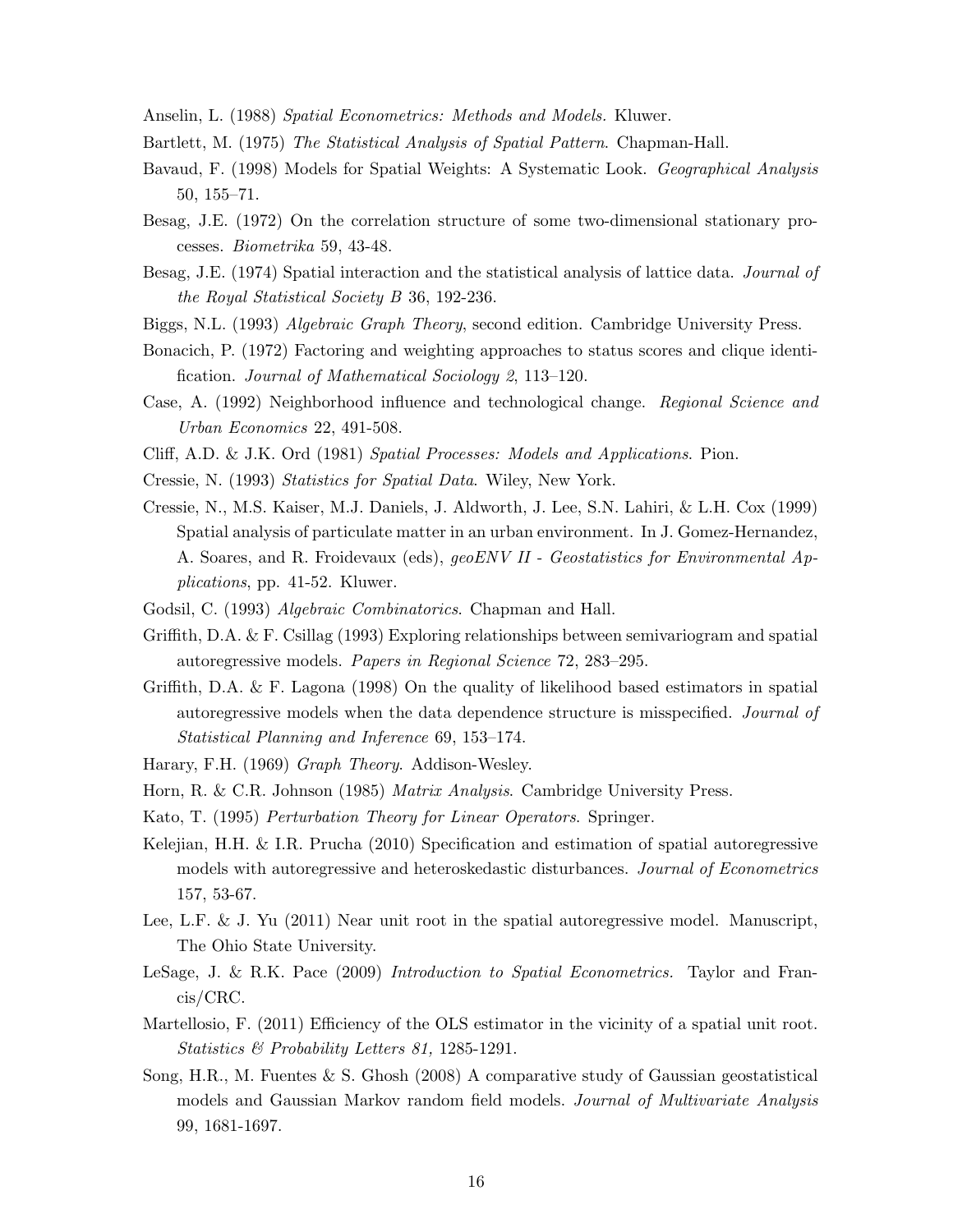Anselin, L. (1988) Spatial Econometrics: Methods and Models. Kluwer.

- Bartlett, M. (1975) The Statistical Analysis of Spatial Pattern. Chapman-Hall.
- Bavaud, F. (1998) Models for Spatial Weights: A Systematic Look. Geographical Analysis 50, 155–71.
- Besag, J.E. (1972) On the correlation structure of some two-dimensional stationary processes. Biometrika 59, 43-48.
- Besag, J.E. (1974) Spatial interaction and the statistical analysis of lattice data. Journal of the Royal Statistical Society B 36, 192-236.
- Biggs, N.L. (1993) Algebraic Graph Theory, second edition. Cambridge University Press.
- Bonacich, P. (1972) Factoring and weighting approaches to status scores and clique identification. Journal of Mathematical Sociology 2, 113–120.
- Case, A. (1992) Neighborhood influence and technological change. Regional Science and Urban Economics 22, 491-508.
- Cliff, A.D. & J.K. Ord (1981) Spatial Processes: Models and Applications. Pion.
- Cressie, N. (1993) Statistics for Spatial Data. Wiley, New York.
- Cressie, N., M.S. Kaiser, M.J. Daniels, J. Aldworth, J. Lee, S.N. Lahiri, & L.H. Cox (1999) Spatial analysis of particulate matter in an urban environment. In J. Gomez-Hernandez, A. Soares, and R. Froidevaux (eds), geoENV II - Geostatistics for Environmental Applications, pp. 41-52. Kluwer.
- Godsil, C. (1993) Algebraic Combinatorics. Chapman and Hall.
- Griffith, D.A. & F. Csillag (1993) Exploring relationships between semivariogram and spatial autoregressive models. Papers in Regional Science 72, 283–295.
- Griffith, D.A. & F. Lagona (1998) On the quality of likelihood based estimators in spatial autoregressive models when the data dependence structure is misspecified. Journal of Statistical Planning and Inference 69, 153–174.
- Harary, F.H. (1969) Graph Theory. Addison-Wesley.
- Horn, R. & C.R. Johnson (1985) Matrix Analysis. Cambridge University Press.
- Kato, T. (1995) Perturbation Theory for Linear Operators. Springer.
- Kelejian, H.H. & I.R. Prucha (2010) Specification and estimation of spatial autoregressive models with autoregressive and heteroskedastic disturbances. Journal of Econometrics 157, 53-67.
- Lee, L.F. & J. Yu (2011) Near unit root in the spatial autoregressive model. Manuscript, The Ohio State University.
- LeSage, J. & R.K. Pace (2009) Introduction to Spatial Econometrics. Taylor and Francis/CRC.
- Martellosio, F. (2011) Efficiency of the OLS estimator in the vicinity of a spatial unit root. Statistics & Probability Letters 81, 1285-1291.
- Song, H.R., M. Fuentes & S. Ghosh (2008) A comparative study of Gaussian geostatistical models and Gaussian Markov random field models. Journal of Multivariate Analysis 99, 1681-1697.